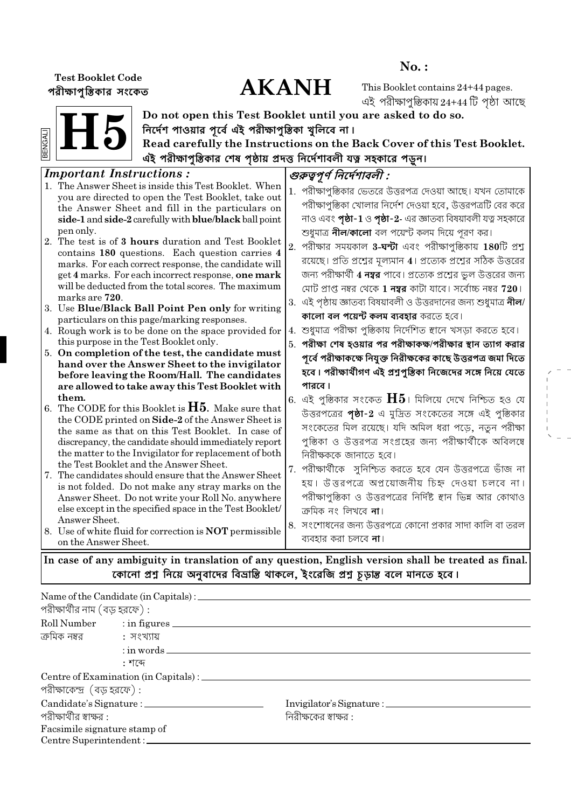## **Test Booklet Code** পরীক্ষাপৃস্তিকার সংকেত

# **AKANH**

 $No.$ :

This Booklet contains 24+44 pages. এই পরীক্ষাপৃস্তিকায় 24+44 টি পষ্ঠা আছে



Do not open this Test Booklet until you are asked to do so. নির্দেশ পাওয়ার পূর্বে এই পরীক্ষাপৃস্তিকা খুলিবে না।

Read carefully the Instructions on the Back Cover of this Test Booklet. এই পরীক্ষাপৃস্তিকার শেষ পৃষ্ঠায় প্রদত্ত নির্দেশাবলী যত্ন সহকারে পড়ুন।

#### **Important Instructions:** গুরুত্বপূর্ণ নির্দেশাবলী : 1. The Answer Sheet is inside this Test Booklet. When 1. পরীক্ষাপুস্তিকার ভেতরে উত্তরপত্র দেওয়া আছে। যখন তোমাকে you are directed to open the Test Booklet, take out পরীক্ষাপৃস্তিকা খোলার নির্দেশ দেওয়া হবে, উত্তরপত্রটি বের করে the Answer Sheet and fill in the particulars on নাও এবং **পৃষ্ঠা-1** ও **পৃষ্ঠা-2-** এর জ্ঞাতব্য বিষয়াবলী যত্ন সহকারে side-1 and side-2 carefully with blue/black ball point শুধুমাত্র **নীল/কালো** বল পয়ের্ন্ট কলম দিয়ে পুরণ কর। pen only. 2. The test is of 3 hours duration and Test Booklet  $2.$  পরীক্ষার সময়কাল  $3$ -ঘন্টা এবং পরীক্ষাপৃস্তিকায়  $180$ টি প্রশু contains 180 questions. Each question carries 4 রয়েছে। প্রতি প্রশ্নের মূল্যমান 4। প্রত্যেক প্রশ্নের সঠিক উত্তরের marks. For each correct response, the candidate will জন্য পরীক্ষার্থী **4 নম্বর** পাবে। প্রত্যেক প্রশ্নের ভুল উত্তরের জন্য get 4 marks. For each incorrect response, one mark will be deducted from the total scores. The maximum মোট প্রাপ্ত নম্বর থেকে **1 নম্বর** কাটা যাবে। সর্বোচ্চ নম্বর **720**। marks are 720. 3. এই পৃষ্ঠায় জ্ঞাতব্য বিষয়াবলী ও উত্তরদানের জন্য শুধুমাত্র **নীল**/ 3. Use Blue/Black Ball Point Pen only for writing **কালো বল পয়েন্ট কলম ব্যবহার** করতে হবে। particulars on this page/marking responses. 4. শুধুমাত্র পরীক্ষা পুস্তিকায় নির্দেশিত স্থানে খসড়া করতে হবে। 4. Rough work is to be done on the space provided for this purpose in the Test Booklet only. 5. পরীক্ষা শেষ হওয়ার পর পরীক্ষাকক্ষ/পরীক্ষার স্থান ত্যাগ করার 5. On completion of the test, the candidate must পূর্বে পরীক্ষাকক্ষে নিযুক্ত নিরীক্ষকের কাছে উত্তরপত্র জমা দিতে hand over the Answer Sheet to the invigilator হবে। পরীক্ষার্থীগণ এই প্রশুপুস্তিকা নিজেদের সঙ্গে নিয়ে যেতে before leaving the Room/Hall. The candidates পা*বা*র। are allowed to take away this Test Booklet with them. 6. এই পুস্তিকার সংকেত  $\rm{H5}$ । মিলিয়ে দেখে নিশ্চিত হও যে 6. The CODE for this Booklet is  $H5$ . Make sure that উত্তরপত্রের পৃষ্ঠা-2 এ মুদ্রিত সংকেতের সঙ্গে এই পুস্তিকার the CODE printed on Side-2 of the Answer Sheet is সংকেতের মিল রয়েছে। যদি অমিল ধরা পডে, নতন পরীক্ষা the same as that on this Test Booklet. In case of পস্তিকা ও উত্তরপত্র সংগ্রহের জন্য পরীক্ষার্থীকে অবিলম্বে discrepancy, the candidate should immediately report the matter to the Invigilator for replacement of both নিরীক্ষককে জানাতে হবে। the Test Booklet and the Answer Sheet. 7. পরীক্ষার্থীকে সুনিশ্চিত করতে হবে যেন উত্তরপত্রে ভাঁজ না 7. The candidates should ensure that the Answer Sheet হয়। উত্তরপত্রে অপ্রয়োজনীয় চিহ্ন দেওয়া চলবে না। is not folded. Do not make any stray marks on the পরীক্ষাপুস্তিকা ও উত্তরপত্রের নির্দিষ্ট স্থান ভিন্ন আর কোথাও Answer Sheet. Do not write your Roll No. anywhere else except in the specified space in the Test Booklet/ ক্ৰেমিক নং লিখৰে **না**। Answer Sheet. 8. সংশোধনের জন্য উত্তরপত্রে কোনো প্রকার সাদা কালি বা তরল 8. Use of white fluid for correction is **NOT** permissible ব্যবহার করা চলবে **না**। on the Answer Sheet.

In case of any ambiguity in translation of any question, English version shall be treated as final. কোনো প্রশ্ন নিয়ে অনুবাদের বিভ্রান্তি থাকলে, ইংরেজি প্রশ্ন চূড়ান্ত বলে মানতে হবে।

|                                 | Name of the Candidate (in Capitals) : __________ |                       |  |
|---------------------------------|--------------------------------------------------|-----------------------|--|
| পরীক্ষার্থীর নাম (বড় হরফে) :   |                                                  |                       |  |
|                                 | Roll Number : in figures                         |                       |  |
|                                 |                                                  |                       |  |
|                                 | $:$ in words $\_\_$                              |                       |  |
|                                 | : শব্দে                                          |                       |  |
|                                 |                                                  |                       |  |
| পরীক্ষাকেন্দ্র (বড় হরফে):      |                                                  |                       |  |
|                                 |                                                  |                       |  |
| পরীক্ষার্থীর স্বাক্ষর :         |                                                  | নিরীক্ষকের স্বাক্ষর : |  |
| Facsimile signature stamp of    |                                                  |                       |  |
| $Centro$ Superintendent $\cdot$ |                                                  |                       |  |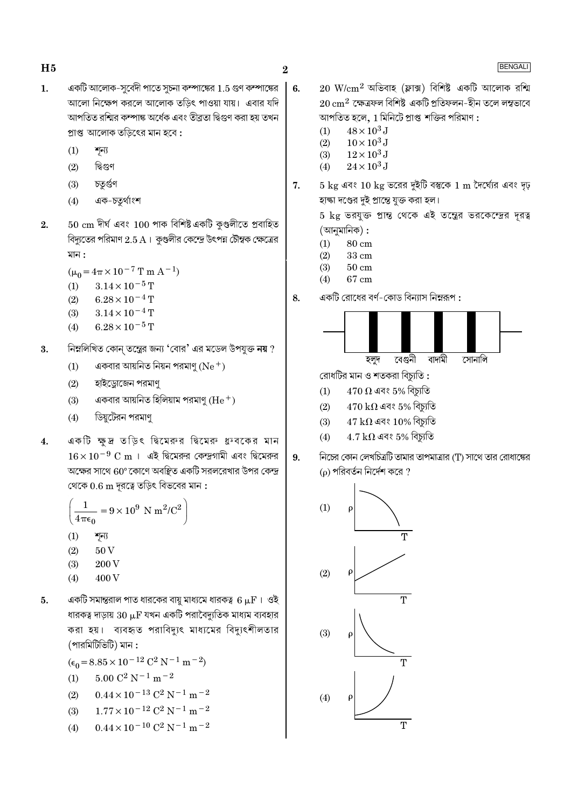- একটি আলোক-সুবেদী পাতে সুচনা কম্পাঙ্কের 1.5 গুণ কম্পাঙ্কের  $\mathbf{1}$ . আলো নিক্ষেপ করলে আলোক তডিৎ পাওয়া যায়। এবার যদি আপতিত রশ্মির কম্পাঙ্ক অর্ধেক এবং তীব্রতা দ্বিগুণ করা হয় তখন প্ৰাপ্ত আলোক তড়িৎের মান হবে :
	- $(1)$ শূন্য
	- $(2)$ দ্বিগুণ
	- চতুৰ্গুণ  $(3)$
	- $(4)$ এক-চতুৰ্থাংশ
- $50\;{\rm cm}$  দীৰ্ঘ এবং  $100$  পাক বিশিষ্ট একটি কুণ্ডলীতে প্ৰবাহিত  $2.$ বিদ্যুতের পরিমাণ  $2.5$  A । কুণ্ডলীর কেন্দ্রে উৎপন্ন চৌম্বক ক্ষেত্রের মান :
	- $(\mu_0 = 4\pi \times 10^{-7} \text{ T m A}^{-1})$
	- $3.14 \times 10^{-5}$  T  $(1)$
	- $6.28 \times 10^{-4}$  T  $(2)$
	- $(3)$  $3.14 \times 10^{-4}$  T
	- $6.28 \times 10^{-5}$  T  $(4)$
- নিম্নলিখিত কোন্ তন্ত্রের জন্য 'বোর' এর মডেল উপযুক্ত নয় ? 3.
	- একবার আয়নিত নিয়ন পরমাণু ( $Ne^+$ )  $(1)$
	- $(2)$ হাইড্রোজেন পরমাণু
	- একবার আয়নিত হিলিয়াম পরমাণু ( ${\rm He^+}$ )  $(3)$
	- ডিয়ুটেরন পরমাণু  $(4)$
- একটি ক্ষুদ্র তড়িৎ দ্বিমেরুর দ্বিমেরু ধ্রুবকের মান  $4.$  $16 \times 10^{-9}$  C m । এই দ্বিমেরুর কেন্দ্রগামী এবং দ্বিমেরুর অক্ষের সাথে  $60^{\circ}$ কোণে অবস্থিত একটি সরলরেখার উপর কেন্দ্র থেকে  $0.6 \text{ m}$  দূরত্বে তড়িৎ বিভবের মান:

$$
\left(\frac{1}{4\pi\epsilon_0} = 9 \times 10^9 \text{ N m}^2/\text{C}^2\right)
$$

- $(1)$ শূন্য
- $(2)$  $50\,\mathrm{V}$
- $(3)$ 200 V
- 400V  $(4)$
- 5. একটি সমান্তরাল পাত ধারকের বায়ু মাধ্যমে ধারকত্ব  $6\,\rm \mu F$ । ওই ধারকত্ব দাড়ায়  $30 \ \mu F$  যখন একটি পরাবৈদ্যুতিক মাধ্যম ব্যবহার করা হয়। ব্যবহৃত পরাবিদ্যুৎ মাধ্যমের বিদ্যুৎশীলতার (পারমিটিভিটি) মান :

 $(\epsilon_0 = 8.85 \times 10^{-12} \text{ C}^2 \text{ N}^{-1} \text{ m}^{-2})$ 

- $5.00$   $\mathrm{C}^2$   $\mathrm{N}^{-1}$  m  $^{-2}$  $(1)$
- $0.44 \times 10^{-13}$  C<sup>2</sup> N<sup>-1</sup> m<sup>-2</sup>  $(2)$
- $1.77 \times 10^{-12}$  C<sup>2</sup> N<sup>-1</sup> m<sup>-2</sup>  $(3)$
- $0.44 \times 10^{-10}$  C<sup>2</sup> N<sup>-1</sup> m<sup>-2</sup>  $(4)$
- $20\ \mathrm{W/cm^2}$  অভিবাহ (ফ্লাক্স) বিশিষ্ট একটি আলোক রশ্মি  $\vert 6.$  $20\,{\rm cm}^2$  ক্ষেত্ৰফল বিশিষ্ট একটি প্ৰতিফলন-হীন তলে লম্বভাবে আপতিত হলে, 1 মিনিটে প্রাপ্ত শক্তির পরিমাণ :
	- $48 \times 10^3$  J  $(1)$

 $\overline{2}$ 

- $10 \times 10^3$  J  $(2)$  $(3)$  $12 \times 10^3$  J
- $24 \times 10^3$  J  $(4)$
- $5 \text{ kg}$  এবং  $10 \text{ kg}$  ভরের দুইটি বম্ভকে  $1 \text{ m}$  দৈর্ঘ্যের এবং দৃঢ় 7. হাক্ষা দণ্ডের দুই প্রান্তে যুক্ত করা হল।

5 kg ভরযুক্ত প্রান্ত থেকে এই তন্ত্রের ভরকেন্দ্রের দূরত্ব (আনুমানিক) :

- $(1)$  $80 \text{ cm}$
- $(2)$ 33 cm
- $(3)$  $50 \text{ cm}$
- $67\;{\rm cm}$  $(4)$
- একটি রোধের বর্ণ-কোড বিন্যাস নিম্নরূপ : 8.



রোধটির মান ও শতকরা বিচ্যুতি :

- $470\ \Omega$  এবং  $5\%$  বিচ্যুতি  $(1)$
- $(2)$  $470\,\text{k}\Omega$  এবং 5% বিচ্যুতি
- $47 \text{ k}\Omega$  এবং 10% বিচ্যুতি  $(3)$
- $4.7~\text{k}\Omega$  এবং  $5\%$  বিচ্যুতি  $(4)$



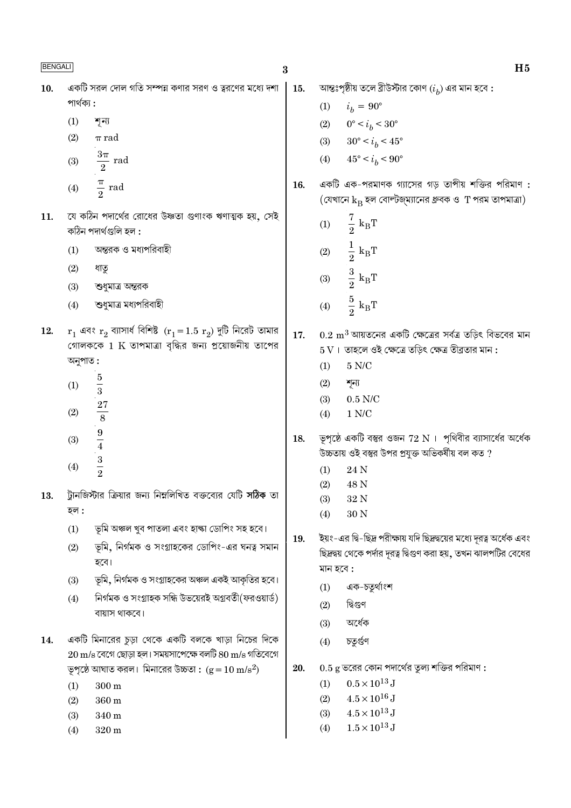| BENGALI |                                                                                                                                       | $\bf{3}$ | H <sub>5</sub>                                                                                                                                         |
|---------|---------------------------------------------------------------------------------------------------------------------------------------|----------|--------------------------------------------------------------------------------------------------------------------------------------------------------|
| 10.     | একটি সরল দোল গতি সম্পন্ন কণার সরণ ও ত্বরণের মধ্যে দশা                                                                                 | 15.      | আন্তঃপৃষ্ঠীয় তলে ব্রীউস্টার কোণ $\left(i_{h}\right)$ এর মান হবে :                                                                                     |
|         | পার্থক্য :                                                                                                                            |          | $i_b = 90^{\circ}$<br>(1)                                                                                                                              |
|         | (1)<br>শূন্য                                                                                                                          |          | $0^{\circ} < i_b < 30^{\circ}$<br>(2)                                                                                                                  |
|         | (2)<br>$\pi$ rad                                                                                                                      |          | $30^{\circ} < i_b < 45^{\circ}$<br>(3)                                                                                                                 |
|         | $rac{3\pi}{2}$ rad<br>(3)                                                                                                             |          | $45^{\circ} < i_b < 90^{\circ}$<br>(4)                                                                                                                 |
|         | $\frac{\pi}{2}$ rad<br>(4)                                                                                                            | 16.      | একটি এক-পরমাণক গ্যাসের গড় তাপীয় শক্তির পরিমাণ :<br>$\sigma$ (যেখানে $k_B$ হল বোল্টজ্ম্যানের ধ্রুবক ও T পরম তাপমাত্রা)                                |
| 11.     | যে কঠিন পদার্থের রোধের উষ্ণতা গুণাংক ঋণাত্মক হয়, সেই<br>কঠিন পদাৰ্থগুলি হল :                                                         |          | $rac{7}{2}$ k <sub>B</sub> T<br>(1)                                                                                                                    |
|         | অন্তরক ও মধ্যপরিবাহী<br>(1)                                                                                                           |          | $\frac{1}{2}$ k <sub>B</sub> T<br>(2)                                                                                                                  |
|         | (2)<br>ধাতু                                                                                                                           |          | $\frac{3}{2}$ $\textbf{k}_{\textrm{B}}\textbf{T}$                                                                                                      |
|         | (3)<br>শুধুমাত্র অন্তরক                                                                                                               |          | (3)                                                                                                                                                    |
|         | শুধুমাত্র মধ্যপরিবাহী<br>(4)                                                                                                          |          | $\frac{5}{2}$ k <sub>B</sub> T<br>(4)                                                                                                                  |
| 12.     | $r_1$ এবং $r_2$ ব্যাসার্ধ বিশিষ্ট $(r_1 = 1.5 r_2)$ দুটি নিরেট তামার<br>গোলককে $1 \text{ K}$ তাপমাত্রা বৃদ্ধির জন্য প্রয়োজনীয় তাপের | 17.      | $0.2~{\rm m}^3$ আয়তনের একটি ক্ষেত্রের সর্বত্র তড়িৎ বিভবের মান<br>$5\,\mathrm{V}$ । তাহলে ওই ক্ষেত্রে তড়িৎ ক্ষেত্র তীব্রতার মান :                    |
|         | অনুপাত :                                                                                                                              |          | $5$ N/C $\,$<br>(1)                                                                                                                                    |
|         | $\frac{5}{3}$<br>(1)                                                                                                                  |          | (2)<br>শূন্য                                                                                                                                           |
|         |                                                                                                                                       |          | $0.5$ N/C<br>(3)                                                                                                                                       |
|         | $\frac{27}{8}$<br>(2)                                                                                                                 |          | $1$ N/C $\,$<br>(4)                                                                                                                                    |
|         | $\frac{9}{4}$<br>(3)                                                                                                                  | 18.      | ভূপৃষ্ঠে একটি বস্তুর ওজন 72 $N$ । পৃথিবীর ব্যাসার্ধের অর্ধেক                                                                                           |
|         | $\frac{3}{2}$                                                                                                                         |          | উচ্চতায় ওই বম্ভর উপর প্রযুক্ত অভিকর্ষীয় বল কত ?                                                                                                      |
|         | (4)                                                                                                                                   |          | (1)<br>24 N                                                                                                                                            |
| 13.     | ট্টানজিস্টার ক্রিয়ার জন্য নিম্নলিখিত বক্তব্যের যেটি <b>সঠিক</b> তা                                                                   |          | (2)<br>48 N<br>32 N<br>(3)                                                                                                                             |
|         | হল :                                                                                                                                  |          | 30 N<br>(4)                                                                                                                                            |
|         | ভূমি অঞ্চল খুব পাতলা এবং হাল্কা ডোপিং সহ হবে।<br>(1)                                                                                  |          |                                                                                                                                                        |
|         | ভূমি, নির্গমক ও সংগ্রাহকের ডোপিং-এর ঘনত্ব সমান<br>(2)<br>হবে।                                                                         | 19.      | ইয়ং-এর দ্বি-ছিদ্র পরীক্ষায় যদি ছিদ্রদ্বয়ের মধ্যে দূরত্ব অর্ধেক এবং<br>ছিদ্রদ্বয় থেকে পর্দার দূরত্ব দ্বিগুণ করা হয়, তখন ঝালপটির বেধের<br>মান হবে : |
|         | ভূমি, নির্গমক ও সংগ্রাহকের অঞ্চল একই আকৃতির হবে।<br>(3)                                                                               |          | এক-চতুর্থাংশ<br>(1)                                                                                                                                    |
|         | নির্গমক ও সংগ্রাহক সন্ধি উভয়েরই অগ্রবর্তী(ফরওয়ার্ড)<br>(4)                                                                          |          | দ্বিগুণ                                                                                                                                                |
|         | বায়াস থাকবে।                                                                                                                         |          | (2)<br>অৰ্ধেক<br>(3)                                                                                                                                   |
| 14.     | একটি মিনারের চূড়া থেকে একটি বলকে খাড়া নিচের দিকে                                                                                    |          | চতুৰ্গুণ<br>(4)                                                                                                                                        |
|         | $20\,\mathrm{m/s}$ বেগে ছোড়া হল । সময়সাপেক্ষে বলটি $80\,\mathrm{m/s}$ গতিবেগে                                                       |          |                                                                                                                                                        |
|         | ভূপৃষ্ঠে আঘাত করল। মিনারের উচ্চতা : $(g = 10 \text{ m/s}^2)$                                                                          | 20.      | $0.5$ g ভরের কোন পদার্থের তুল্য শক্তির পরিমাণ :                                                                                                        |
|         | $300\,\mathrm{m}$<br>(1)                                                                                                              |          | $0.5 \times 10^{13}\,\mathrm{J}$<br>(1)                                                                                                                |
|         | $360 \text{ m}$<br>(2)                                                                                                                |          | $4.5\times10^{16}\,\mathrm{J}$<br>(2)<br>$4.5 \times 10^{13}$ J<br>(3)                                                                                 |
|         | 340 m<br>(3)<br>(4)<br>$320\,\mathrm{m}$                                                                                              |          | $1.5 \times 10^{13}$ J<br>(4)                                                                                                                          |
|         |                                                                                                                                       |          |                                                                                                                                                        |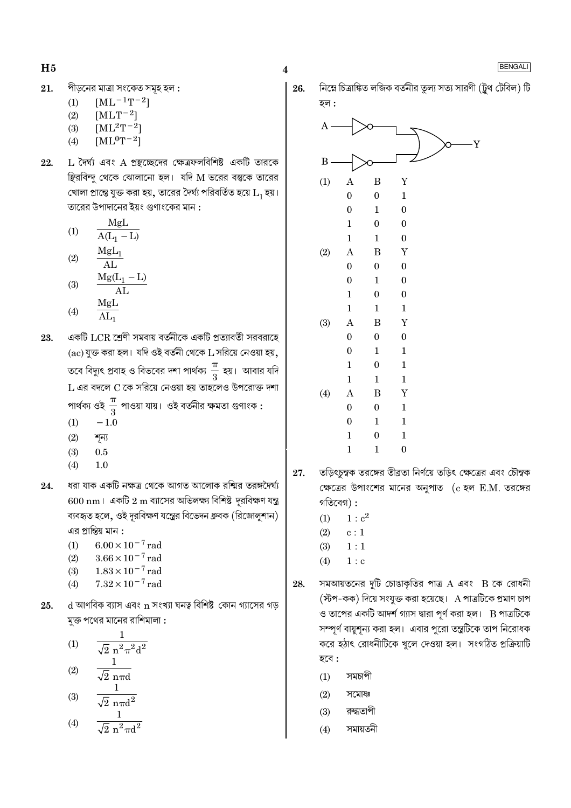- পীড়নের মাত্রা সংকেত সমূহ হল : 21.
	- $[ML^{-1}T^{-2}]$  $(1)$
	- $(2)$  $[MLT^{-2}]$
	- $[ML^2T^{-2}]$  $(3)$
	- $[ML^0T^{-2}]$  $(4)$
- 22.  $L$  দৈর্ঘ্য এবং A প্রস্থচ্ছেদের ক্ষেত্রফলবিশিষ্ট একটি তারকে স্থিরবিন্দু থেকে ঝোলানো হল। যদি M ভরের বস্তুকে তারের খোলা প্রান্তে যুক্ত করা হয়, তারের দৈর্ঘ্য পরিবর্তিত হয়ে  $\mathrm{L}_1$  হয়। তারের উপাদানের ইয়ং গুণাংকের মান :

(1) 
$$
\frac{MgL}{A(L_1 - L)}
$$
  
\n(2)  $\frac{MgL_1}{AL}$   
\n(3)  $\frac{MgL_1}{Mg(L_1 - L)}$ 

$$
\begin{array}{cc}\n\text{(3)} & \frac{\text{S} \times \text{I}}{\text{AL}} \\
\text{(4)} & \frac{\text{MgL}}{\text{I}}\n\end{array}
$$

- $(4)$  $AL_1$
- একটি LCR শ্রেণী সমবায় বর্তনীকে একটি প্রত্যাবর্তী সরবরাহে 23.  $(ac)$  যুক্ত করা হল। যদি ওই বর্তনী থেকে  $L$  সরিয়ে নেওয়া হয়, তবে বিদ্যুৎ প্রবাহ ও বিভবের দশা পার্থক্য  $\frac{\pi}{3}$  হয়। আবার যদি L এর বদলে C কে সরিয়ে নেওয়া হয় তাহলেও উপরোক্ত দশা পার্থক্য ওই  $\frac{\pi}{3}$  পাওয়া যায়। ওই বর্তনীর ক্ষমতা গুণাংক :
	- $(1)$  $-1.0$
	- $(2)$ শন্য
	- $(3)$  $0.5$
	- $(4)$  $1.0$
- 24. ধরা যাক একটি নক্ষত্র থেকে আগত আলোক রশ্মির তরঙ্গদৈর্ঘ্য  $600 \text{ nm}$ । একটি  $2 \text{ m}$  ব্যাসের অভিলক্ষ্য বিশিষ্ট দূরবিক্ষণ যন্ত্র ব্যবহৃত হলে, ওই দূরবিক্ষণ যন্ত্রের বিভেদন ধ্রুবক (রিজোলুশান) এর প্রান্তিয় মান :
	- $6.00 \times 10^{-7}$  rad  $(1)$
	- $3.66 \times 10^{-7}$  rad  $(2)$
	- $1.83\times10^{-7}\,\mathrm{rad}$  $(3)$
	- $7.32 \times 10^{-7}$  rad  $(4)$
- $d$  আণবিক ব্যাস এবং  $n$  সংখ্যা ঘনত্ব বিশিষ্ট কোন গ্যাসের গড় 25. মুক্ত পথের মানের রাশিমালা :

(1) 
$$
\frac{1}{\sqrt{2} n^2 \pi^2 d^2}
$$
  
(2) 
$$
\frac{1}{\sqrt{2} n \pi d}
$$

$$
(3) \qquad \frac{1}{\sqrt{2} \, n \pi d^2}
$$

$$
(4) \qquad \frac{1}{\sqrt{2} \pi^2 \pi d^2}
$$

 $\overline{\mathbf{4}}$ 

নিম্নে চিত্রাঙ্কিত লজিক বর্তনীর তুল্য সত্য সারণী (ট্রথ টেবিল) টি 26. <u>হল :</u>



- তড়িৎচুম্বক তরঙ্গের তীব্রতা নির্ণয়ে তড়িৎ ক্ষেত্রের এবং চৌম্বক 27. ক্ষেত্রের উপাংশের মানের অনুপাত (c হল E.M. তরঙ্গের গতিবেগ $)$ :
	- $(1)$  $1 : c<sup>2</sup>$
	- $(2)$  $c:1$
	- $(3)$  $1:1$
	- $1 : c$  $(4)$
- সমআয়তনের দুটি চোঙাকৃতির পাত্র  $A$  এবং  $B$  কে রোধনী 28. (স্টপ-কক) দিয়ে সংযুক্ত করা হয়েছে। A পাত্রটিকে প্রমাণ চাপ ও তাপের একটি আদর্শ গ্যাস দ্বারা পূর্ণ করা হল।  $\, {\bf B} \,$ পাত্রটিকে সম্পূর্ণ বায়ুশূন্য করা হল। এবার পুরো তন্ত্রটিকে তাপ নিরোধক করে হঠাৎ রোধনীটিকে খুলে দেওয়া হল। সংগঠিত প্রক্রিয়াটি হবে :
	- $(1)$ সমচাপী
	- $(2)$ সমোষ্ণ
	- রুদ্ধতাপী  $(3)$
	- সমায়তনী  $(4)$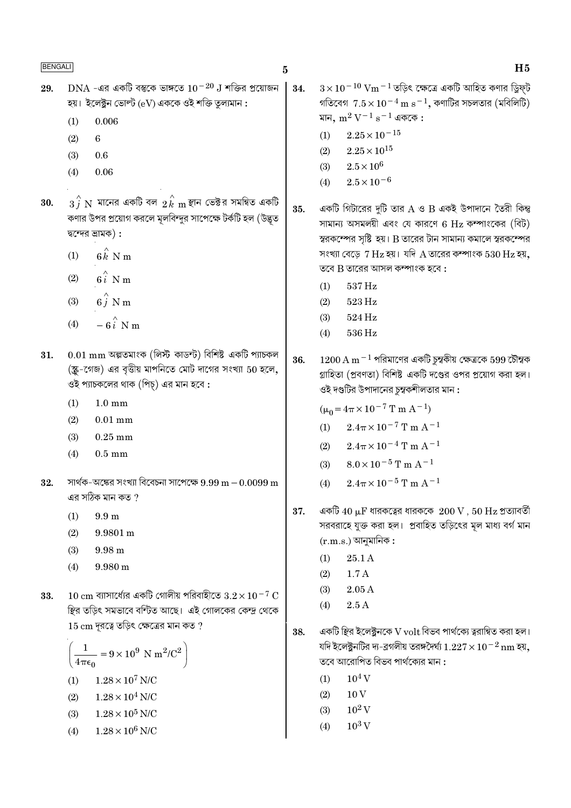$H<sub>5</sub>$ 

- $DNA$  -এর একটি বস্তুকে ভাঙ্গতে  $10^{-20}$  J শক্তির প্রয়োজন 29. হয়। ইলেক্টন ভোল্ট  $(eV)$  এককে ওই শক্তি তল্যমান : 0.006  $(1)$ 
	- 6  $(2)$
	- $(3)$  $0.6$
	- $(4)$ 0.06
- $\overrightarrow{3j}$   $\overline{\rm N}$  মানের একটি বল  $\overrightarrow{2k}$   $\overline{\rm m}$  স্থান ভেক্টর সমন্বিত একটি 30. কণার উপর প্রয়োগ করলে মূলবিন্দুর সাপেক্ষে টর্কটি হল (উদ্ভূত দ্বন্দের ভ্রামক):
	- $6 \hat{k}$  N m  $(1)$
	- $6i$  N m  $(2)$
	- $6\hat{j}$  N m  $(3)$
	- $-6i$  N m  $(4)$
- $0.01 \text{ mm}$  অল্পতমাংক (লিস্ট কাডন্ট) বিশিষ্ট একটি প্যাচকল 31. (স্ক্র-গেজ) এর বৃত্তীয় মাপনিতে মোট দাগের সংখ্যা 50 হলে, ওই প্যাচকলের থাক (পিচ্) এর মান হবে :
	- $(1)$  $1.0 \text{ mm}$
	- $(2)$  $0.01$  mm
	- $(3)$  $0.25$  mm
	- $(4)$  $0.5$  mm
- সার্থক-অঙ্কের সংখ্যা বিবেচনা সাপেক্ষে  $9.99 \text{ m} 0.0099 \text{ m}$ 32. এর সঠিক মান কত ?
	- $(1)$  $9.9<sub>m</sub>$
	- $(2)$ 9.9801 m
	- $(3)$  $9.98 m$
	- $(4)$ 9.980 m
- $10 \text{ cm}$  ব্যাসার্ধ্যের একটি গোলীয় পরিবাহীতে  $3.2 \times 10^{-7} \text{ C}$ 33. স্থির তড়িৎ সমভাবে বর্ণিত আছে। এই গোলকের কেন্দ্র থেকে  $15 \text{ cm}$  দূরত্বে তড়িৎ ক্ষেত্রের মান কত ?

$$
\left(\frac{1}{4\pi\epsilon_0} = 9 \times 10^9 \text{ N m}^2/\text{C}^2\right)
$$
  
(1) 1.28 × 10<sup>7</sup> N/C  
(2) 1.28 × 10<sup>4</sup> N/C

- $1.28 \times 10^5$  N/C  $(3)$
- $(4)$  $1.28 \times 10^6$  N/C

 $3\times10^{-10}$  Vm  $^{-1}$  তডিৎ ক্ষেত্রে একটি আহিত কণার ডিফট 34. গতিবেগ  $7.5 \times 10^{-4}$  m s $^{-1}$ , কণাটির সচলতার (মবিলিটি) মান,  $m^2 V^{-1} s^{-1}$  এককে:

- $2.25 \times 10^{-15}$  $(1)$
- $2.25 \times 10^{15}$  $(2)$
- $(3)$  $2.5 \times 10^6$
- $2.5 \times 10^{-6}$  $(4)$
- একটি গিটারের দুটি তার A ও B একই উপাদানে তৈরী কিন্তু 35. সামান্য অসমলয়ী এবং যে কারণে 6 Hz কম্পাংকের (বিট) স্বরকম্পের সৃষ্টি হয়। B তারের টান সামান্য কমালে স্বরকম্পের সংখ্যা বেড়ে  $7$  Hz হয়। যদি A তারের কম্পাংক  $530$  Hz হয়, তবে  $B$  তারের আসল কম্পাংক হবে :
	- 537 Hz  $(1)$
	- 523 Hz  $(2)$
	- $(3)$ 524 Hz
	- 536 Hz  $(4)$
- $1200 \text{ A m}^{-1}$  পরিমাণের একটি চুম্বকীয় ক্ষেত্রকে 599 চৌম্বক 36. গ্রাহিতা (প্রবণতা) বিশিষ্ট একটি দণ্ডের ওপর প্রয়োগ করা হল। ওই দণ্ডটির উপাদানের চম্বকশীলতার মান :

 $(\mu_0 = 4\pi \times 10^{-7} \text{ T m A}^{-1})$ 

- $2.4\pi \times 10^{-7}$  T m A<sup>-1</sup>  $(1)$
- $(2)$  $2.4\pi \times 10^{-4}$  T m A<sup>-1</sup>
- $8.0 \times 10^{-5}$  T m A<sup>-1</sup>  $(3)$
- $2.4\pi \times 10^{-5}$  T m A<sup>-1</sup>  $(4)$
- একটি  $40 \mu$ F ধারকত্বের ধারককে  $~200 \, \mathrm{V}$  ,  $50 \, \mathrm{Hz}$  প্রত্যাবর্তী 37. সরবরাহে যুক্ত করা হল। প্রবাহিত তড়িৎের মূল মাধ্য বর্গ মান  $(r.m.s.)$  আনুমানিক :
	- $(1)$  $25.1A$
	- $1.7A$  $(2)$
	- $2.05A$  $(3)$
	- $2.5A$  $(4)$
- একটি স্থির ইলেক্ট্রনকে V volt বিভব পার্থক্যে ত্বরান্বিত করা হল। 38. যদি ইলেক্টনটির দ্য-ব্রগলীয় তরঙ্গদৈর্ঘ্য  $1.227 \times 10^{-2}$  nm হয়, তবে আরোপিত বিভব পার্থক্যের মান :
	- $10^4$  V  $(1)$
	- $(2)$  $10V$
	- $10^2$  V  $(3)$
	- $10^3$  V  $(4)$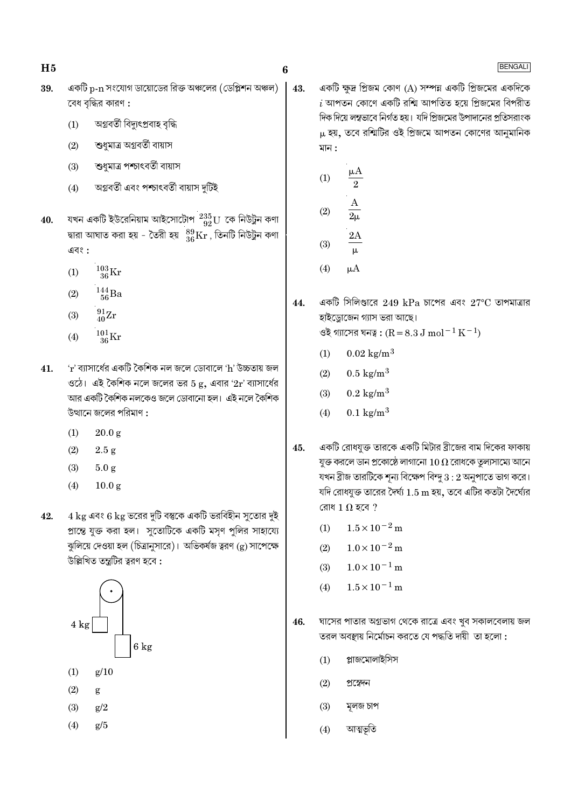- 6
- একটি  $p-n$  সংযোগ ডায়োডের রিক্ত অঞ্চলের (ডেপ্লিশন অঞ্চল) 39. বেধ বদ্ধির কারণ :
	- অগ্নবৰ্তী বিদ্যুৎপ্ৰবাহ বৃদ্ধি  $(1)$
	- শুধুমাত্র অগ্রবর্তী বায়াস  $(2)$
	- শুধমাত্র পশ্চাৎবর্তী বায়াস  $(3)$
	- অগ্নবৰ্তী এবং পশ্চাৎবৰ্তী বায়াস দুৰ্টিই  $(4)$
- যখন একটি ইউরেনিয়াম আইসোটোপ $\frac{235}{92}$ U কে নিউট্রন কণা 40. দ্বারা আঘাত করা হয় - তৈরী হয়  $\frac{89}{36}\text{Kr}$ , তিনটি নিউট্রন কণা এবং :
	- $\frac{103}{36}\mathrm{Kr}$  $(1)$
	- $\frac{144}{56}$ Ba  $(2)$
	- $\frac{91}{40}\text{Zr}$  $(3)$
	- $\frac{101}{36}\mathrm{Kr}$  $(4)$
- $r$ ' ব্যাসার্ধের একটি কৈশিক নল জলে ডোবালে 'h' উচ্চতায় জল 41. ওঠে। এই কৈশিক নলে জলের ভর  $5$  g, এবার ' $2r$ ' ব্যাসার্ধের আর একটি কৈশিক নলকেও জলে ডোবানো হল। এই নলে কৈশিক উত্থানে জলের পরিমাণ :
	- $20.0 g$  $(1)$
	- $(2)$  $2.5 g$
	- $(3)$  $5.0 g$
	- $(4)$  $10.0 g$
- $4~\mathrm{kg}$  এবং 6  $\mathrm{kg}$  ভরের দুটি বস্তুকে একটি ভরবিহীন সূতোর দুই 42. প্রান্তে যুক্ত করা হল। সুতোটিকে একটি মসৃণ পুলির সাহায্যে ঝুলিয়ে দেওয়া হল (চিত্রানুসারে)। অভিকর্ষজ ত্বরণ (g) সাপেক্ষে উল্লিখিত তন্ত্ৰটির ত্বরণ হবে:



- $(1)$  $g/10$
- $(2)$ g
- $(3)$  $g/2$
- $(4)$  $g/5$

একটি ক্ষুদ্র প্রিজম কোণ (A) সম্পন্ন একটি প্রিজমের একদিকে 43.  $i$  আপতন কোণে একটি রশ্মি আপতিত হয়ে প্রিজমের বিপরীত দিক দিয়ে লম্বভাবে নির্গত হয়। যদি প্রিজমের উপাদানের প্রতিসরাংক  $\mu$  হয়, তবে রশ্মিটির ওই প্রিজমে আপতন কোণের আনুমানিক মান :

(1) 
$$
\frac{\mu A}{2}
$$
  
\n(2)  $\frac{A}{2\mu}$   
\n(3)  $\frac{2A}{\mu}$   
\n(4)  $\mu A$ 

- একটি সিলিণ্ডারে 249 kPa চাপের এবং 27°C তাপমাত্রার 44. হাইড্রোজেন গ্যাস ভরা আছে। ওই গ্যাসের ঘনত্ব:  $(R = 8.3 J \text{ mol}^{-1} \text{ K}^{-1})$ 
	- $(1)$  $0.02 \text{ kg/m}^3$
	- $0.5 \text{ kg/m}^3$  $(2)$
	- $0.2 \text{ kg/m}^3$  $(3)$
	- $0.1 \text{ kg/m}^3$  $(4)$
- একটি রোধযুক্ত তারকে একটি মিটার ব্রীজের বাম দিকের ফাকায় 45. যুক্ত করলে ডান প্রকোষ্ঠে লাগানো  $10\,\Omega$  রোধকে তুল্যসাম্যে আনে যখন ব্রীজ তারটিকে শূন্য বিক্ষেপ বিন্দু  $3$  :  $2$  অনুপাতে ভাগ করে। যদি রোধযুক্ত তারের দৈর্ঘ্য  $1.5\,\mathrm{m}$  হয়, তবে এটির কতটা দৈর্ঘ্যের রোধ 1  $\Omega$  হবে ?
	- $1.5 \times 10^{-2}$  m  $(1)$
	- $1.0 \times 10^{-2}$  m  $(2)$
	- $1.0 \times 10^{-1}$  m  $(3)$
	- $1.5 \times 10^{-1}$  m  $(4)$
- ঘাসের পাতার অগ্রভাগ থেকে রাত্রে এবং খুব সকালবেলায় জল 46. তরল অবস্থায় নির্মোচন করতে যে পদ্ধতি দায়ী তা হলো:
	- প্লাজমোলাইসিস  $(1)$
	- $(2)$ প্ৰস্বেদন
	- $(3)$ মূলজ চাপ
	- আত্মভূতি  $(4)$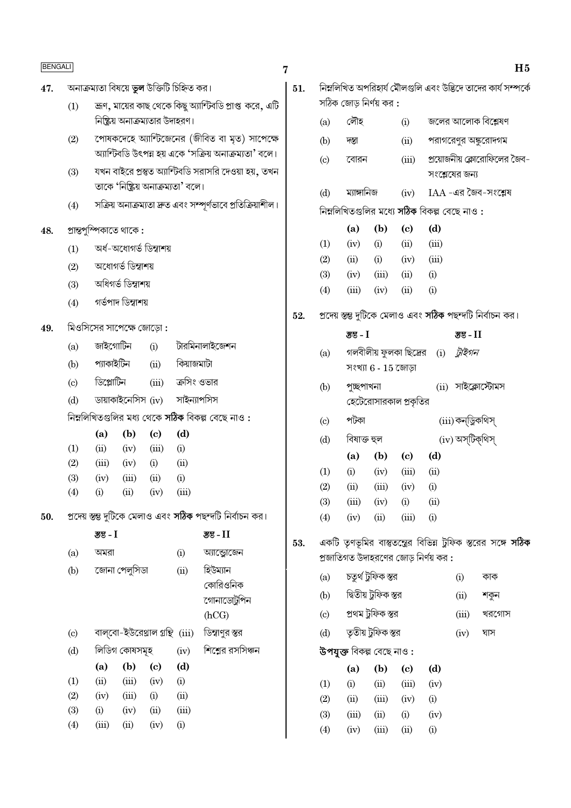| <b>BENGALI</b> |            |             |                                                             |                                            |                                    |                                                           | 7   |     |                          |                        |                                             |                                      |                   | H <sub>5</sub>                                                       |
|----------------|------------|-------------|-------------------------------------------------------------|--------------------------------------------|------------------------------------|-----------------------------------------------------------|-----|-----|--------------------------|------------------------|---------------------------------------------|--------------------------------------|-------------------|----------------------------------------------------------------------|
| 47.            |            |             |                                                             | অনাক্রম্যতা বিষয়ে ভুল উক্তিটি চিহ্নিত কর। |                                    |                                                           | 51. |     |                          |                        |                                             |                                      |                   | নিম্নলিখিত অপরিহার্য মৌলগুলি এবং উদ্ভিদে তাদের কার্য সম্পর্কে        |
|                | (1)        |             |                                                             |                                            |                                    | জ্রণ, মায়ের কাছ থেকে কিছু অ্যান্টিবডি প্রাপ্ত করে, এটি   |     |     | সঠিক জোড় নির্ণয় কর :   |                        |                                             |                                      |                   |                                                                      |
|                |            |             |                                                             | নিষ্ক্রিয় অনাক্রম্যতার উদাহরণ।            |                                    |                                                           |     | (a) | লৌহ                      |                        | (i)                                         | জলের আলোক বিশ্লেষণ                   |                   |                                                                      |
|                | (2)        |             |                                                             |                                            |                                    | পোষকদেহে অ্যান্টিজেনের (জীবিত বা মৃত) সাপেক্ষে            |     | (b) | দম্ভা                    |                        | (ii)                                        |                                      |                   | পরাগরেণুর অঙ্কুরোদগম                                                 |
|                |            |             |                                                             |                                            |                                    | অ্যান্টিবডি উৎপন্ন হয় একে 'সক্রিয় অনাক্রম্যতা' বলে।     |     | (c) | বোরন                     |                        | (iii)                                       |                                      |                   | প্রয়োজনীয় ক্লোরোফিলের জৈব-                                         |
|                | (3)        |             |                                                             |                                            |                                    | যখন বাইরে প্রস্তুত অ্যান্টিবডি সরাসরি দেওয়া হয়, তখন     |     |     |                          |                        |                                             |                                      | সংশ্লেষের জন্য    |                                                                      |
|                |            |             |                                                             |                                            | তাকে 'নিষ্ক্রিয় অনাক্রম্যতা' বলে। |                                                           |     | (d) | ম্যাঙ্গানিজ              |                        | (iv)                                        |                                      |                   | $IAA$ -এর জৈব-সংশ্লেষ                                                |
|                | (4)        |             | সক্ৰিয় অনাক্ৰম্যতা দ্ৰুত এবং সম্পূৰ্ণভাবে প্ৰতিক্ৰিয়াশীল। |                                            |                                    |                                                           |     |     |                          |                        | নিম্নলিখিতগুলির মধ্যে সঠিক বিকল্প বেছে নাও: |                                      |                   |                                                                      |
| 48.            |            |             | প্ৰান্তপুস্পিকাতে থাকে :                                    |                                            |                                    |                                                           |     |     | (a)                      | (b)                    | $\left( \mathrm{c}\right)$                  | (d)                                  |                   |                                                                      |
|                | (1)        |             |                                                             | অৰ্ধ-অধোগৰ্ভ ডিম্বাশয়                     |                                    |                                                           |     | (1) | (iv)                     | (i)                    | (ii)                                        | (iii)                                |                   |                                                                      |
|                | (2)        |             | অধোগৰ্ভ ডিম্বাশয়                                           |                                            |                                    |                                                           |     | (2) | (ii)                     | (i)                    | (iv)                                        | (iii)                                |                   |                                                                      |
|                | (3)        |             | অধিগৰ্ভ ডিম্বাশয়                                           |                                            |                                    |                                                           |     | (3) | (iv)                     | (iii)                  | (ii)                                        | (i)                                  |                   |                                                                      |
|                | (4)        |             | গৰ্ভপাদ ডিম্বাশয়                                           |                                            |                                    |                                                           |     | (4) | (iii)                    | (iv)                   | (ii)                                        | (i)                                  |                   |                                                                      |
|                |            |             |                                                             |                                            |                                    |                                                           | 52. |     |                          |                        |                                             |                                      |                   | প্রদেয় স্তম্ভ দুটিকে মেলাও এবং সঠিক পছন্দটি নির্বাচন কর।            |
| 49.            |            |             | মিওসিসের সাপেক্ষে জোড়ো:                                    |                                            |                                    |                                                           |     |     | স্তু - $I$               |                        |                                             |                                      | <b>उ</b> ड-11     |                                                                      |
|                | (a)        | জাইগোটিন    |                                                             | (i)                                        |                                    | টারমিনালাইজেশন                                            |     | (a) |                          | গলবীলীয় ফুলকা ছিদ্রের |                                             | (i)                                  | ট্রাইগন           |                                                                      |
|                | (b)        | প্যাকাইটিন  |                                                             | (ii)                                       | কিয়াজমাটা                         |                                                           |     |     |                          | সংখ্যা $6 - 15$ জোড়া  |                                             |                                      |                   |                                                                      |
|                | (c)        | ডিপ্লোটিন   |                                                             | (iii)                                      | ক্রসিং ওভার                        |                                                           |     | (b) | পুচ্ছপাখনা               |                        |                                             |                                      |                   | $(ii)$ সাইক্লোস্টোমস                                                 |
|                | (d)        |             | ডায়াকাইনেসিস (iv)                                          |                                            | সাইন্যাপসিস                        |                                                           |     |     |                          | হেটেরোসারকাল প্রকৃতির  |                                             |                                      |                   |                                                                      |
|                |            |             |                                                             |                                            |                                    | নিম্নলিখিতগুলির মধ্য থেকে সঠিক বিকল্প বেছে নাও:           |     | (c) | পটকা                     |                        |                                             |                                      | (iii)কন্ড্ৰিকথিস্ |                                                                      |
|                |            | (a)         | (b)                                                         | $\left( \mathrm{c}\right)$                 | (d)                                |                                                           |     | (d) | বিষাক্ত হুল              |                        |                                             |                                      | (iv) অস্টিক্থিস্  |                                                                      |
|                | (1)        | (ii)        | (iv)                                                        | (iii)                                      | (i)                                |                                                           |     |     | (a)                      | (b)                    | $\left( \mathrm{e}\right)$                  | (d)                                  |                   |                                                                      |
|                | (2)<br>(3) | (iii)       | (iv)<br>(iii)                                               | (i)<br>(ii)                                | (ii)                               |                                                           |     | (1) | (i)                      | (iv)                   | (iii)                                       | (ii)                                 |                   |                                                                      |
|                | (4)        | (iv)<br>(i) | (ii)                                                        | (iv)                                       | (i)<br>(iii)                       |                                                           |     | (2) | (ii)                     | (iii)                  | (iv)                                        | (i)                                  |                   |                                                                      |
|                |            |             |                                                             |                                            |                                    |                                                           |     | (3) | (iii)                    | (iv)                   | (i)                                         | (ii)                                 |                   |                                                                      |
| 50.            |            |             |                                                             |                                            |                                    | প্রদেয় স্তম্ভ দুটিকে মেলাও এবং সঠিক পছন্দটি নির্বাচন কর। |     | (4) | (iv)                     | (ii)                   | (iii)                                       | (i)                                  |                   |                                                                      |
|                |            | স্তুভ - $I$ |                                                             |                                            |                                    | $35 - 11$                                                 | 53. |     |                          |                        |                                             |                                      |                   | একটি তৃণভূমির বাস্তুতন্ত্রের বিভিন্ন ট্রফিক স্তরের সঙ্গে <b>সঠিক</b> |
|                | (a)        | অমরা        |                                                             |                                            | (i)                                | আন্ড্রোজেন                                                |     |     |                          |                        |                                             | প্রজাতিগত উদাহরণের জোড় নির্ণয় কর : |                   |                                                                      |
|                | (b)        |             | জোনা পেলুসিডা                                               |                                            | (ii)                               | হিউম্যান                                                  |     | (a) |                          | চতুর্থ ট্রফিক স্তর     |                                             |                                      | (i)               | কাক                                                                  |
|                |            |             |                                                             |                                            |                                    | কোরিওনিক<br>গোনাডোটুপিন                                   |     | (b) |                          | দ্বিতীয় টুফিক স্তর    |                                             |                                      | (ii)              | শকুন                                                                 |
|                |            |             |                                                             |                                            |                                    | (hCG)                                                     |     | (c) |                          | প্ৰথম ট্ৰফিক স্তর      |                                             |                                      | (iii)             | খরগোস                                                                |
|                | (c)        |             |                                                             | বাল্বো-ইউরেথ্রাল গ্রন্থি (iii)             |                                    | ডিস্বাণুর স্তর                                            |     | (d) |                          | তৃতীয় ট্রফিক স্তর     |                                             |                                      | (iv)              | ঘাস                                                                  |
|                | (d)        |             | লিডিগ কোষসমূহ                                               |                                            | (iv)                               | শিশ্মের রসসিঞ্চন                                          |     |     | উপযুক্ত বিকল্প বেছে নাও: |                        |                                             |                                      |                   |                                                                      |
|                |            | (a)         | (b)                                                         | $\left( \mathrm{c}\right)$                 | (d)                                |                                                           |     |     | (a)                      | (b)                    | $\left( \mathrm{e}\right)$                  | (d)                                  |                   |                                                                      |
|                | (1)        | (ii)        | (iii)                                                       | (iv)                                       | (i)                                |                                                           |     | (1) | (i)                      | (ii)                   | (iii)                                       | (iv)                                 |                   |                                                                      |
|                | (2)        | (iv)        | (iii)                                                       | (i)                                        | (ii)                               |                                                           |     | (2) | (ii)                     | (iii)                  | (iv)                                        | (i)                                  |                   |                                                                      |
|                | (3)        | (i)         | (iv)                                                        | (ii)                                       | (iii)                              |                                                           |     | (3) | (iii)                    | (ii)                   | (i)                                         | (iv)                                 |                   |                                                                      |
|                | (4)        | (iii)       | (ii)                                                        | (iv)                                       | (i)                                |                                                           |     | (4) | (iv)                     | (iii)                  | (ii)                                        | (i)                                  |                   |                                                                      |
|                |            |             |                                                             |                                            |                                    |                                                           |     |     |                          |                        |                                             |                                      |                   |                                                                      |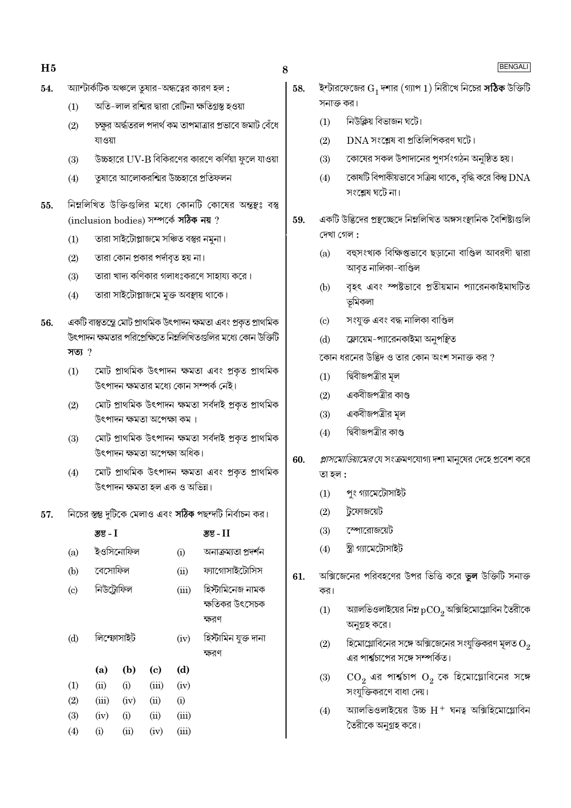- অ্যান্টার্কটিক অঞ্চলে তুষার-অন্ধত্বের কারণ হল : 54.
	- অতি-লাল রশ্মির দ্বারা রেটিনা ক্ষতিগ্রস্ত হওয়া  $(1)$
	- চক্ষুর অর্দ্ধতরল পদার্থ কম তাপমাত্রার প্রভাবে জমাট বেঁধে  $(2)$ যাওয়া
	- উচ্চহারে UV-B বিকিরণের কারণে কর্ণিয়া ফুলে যাওয়া  $(3)$
	- তষারে আলোকরশ্মির উচ্চহারে প্রতিফলন  $(4)$
- নিম্নলিখিত উক্তিগুলির মধ্যে কোনটি কোষের অন্তুষ্ণঃ বস্তু 55. (inclusion bodies) সম্পৰ্কে সঠিক নয় ?
	- তারা সাইটোপ্লাজমে সঞ্চিত বস্তুর নমুনা।  $(1)$
	- তারা কোন প্রকার পর্দাবৃত হয় না।  $(2)$
	- তারা খাদ্য কণিকার গলাধঃকরণে সাহায্য করে।  $(3)$
	- $(4)$ তারা সাইটোপ্লাজমে মুক্ত অবস্থায় থাকে।
- একটি বাস্তুতন্ত্রে মোট প্রাথমিক উৎপাদন ক্ষমতা এবং প্রকৃত প্রাথমিক 56. উৎপাদন ক্ষমতার পরিপ্রেক্ষিতে নিম্নলিখিতগুলির মধ্যে কোন উক্তিটি সত্য  $?$ 
	- মোট প্ৰাথমিক উৎপাদন ক্ষমতা এবং প্ৰকৃত প্ৰাথমিক  $(1)$ উৎপাদন ক্ষমতাব মধ্যে কোন সম্পৰ্ক নেই।
	- মোট প্ৰাথমিক উৎপাদন ক্ষমতা সৰ্বদাই প্ৰকৃত প্ৰাথমিক  $(2)$ উৎপাদন ক্ষমতা অপেক্ষা কম।
	- মোট প্ৰাথমিক উৎপাদন ক্ষমতা সৰ্বদাই প্ৰকত প্ৰাথমিক  $(3)$ উৎপাদন ক্ষমতা অপেক্ষা অধিক।
	- মোট প্ৰাথমিক উৎপাদন ক্ষমতা এবং প্ৰকৃত প্ৰাথমিক  $(4)$ উৎপাদন ক্ষমতা হল এক ও অভিন্ন।
- নিচের স্তম্ভ দুটিকে মেলাও এবং সঠিক পছন্দটি নির্বাচন কর। 57.

|          |      |                                                               |       | उड - II              |
|----------|------|---------------------------------------------------------------|-------|----------------------|
|          |      |                                                               | (i)   | অনাক্ৰম্যতা প্ৰদৰ্শন |
|          |      |                                                               | (ii)  | ফ্যাগোসাইটোসিস       |
|          |      |                                                               | (iii) | হিস্টামিনেজ নামক     |
|          |      |                                                               |       | ক্ষতিকর উৎসেচক       |
|          |      |                                                               |       | ক্ষরণ                |
|          |      |                                                               | (iv)  | হিস্টামিন যুক্ত দানা |
|          |      |                                                               |       | ক্ষরণ                |
| (a)      | (b)  | $\left( \mathrm{e}\right)$                                    | (d)   |                      |
| (ii)     | (i)  | (iii)                                                         | (iv)  |                      |
| (iii)    | (iv) | (ii)                                                          | (i)   |                      |
| (iv)     | (i)  | (ii)                                                          | (iii) |                      |
| $\rm(i)$ | (ii) | (iv)                                                          | (iii) |                      |
|          |      | ञ्जुड - 1<br>ইওসিনোফিল<br>বেসোফিল<br>নিউট্রোফিল<br>লিম্ফোসাইট |       |                      |

- ইন্টারফেজের  $\mathrm{G}_1$  দশার (গ্যাপ 1) নিরীখে নিচের স $\bf \hbar$ ক উক্তিটি 58. সনাক্ত কব।
	- নিউক্লিয় বিভাজন ঘটে।  $(1)$
	- DNA সংশ্লেষ বা প্রতিলিপিকরণ ঘটে।  $(2)$
	- কোষের সকল উপাদানের পুণর্সংগঠন অনুষ্ঠিত হয়।  $(3)$
	- কোষটি বিপাকীয়ভাবে সক্রিয় থাকে, বৃদ্ধি করে কিন্তু  $\rm{DNA}$  $(4)$ সংশ্লেষ ঘটে না।
- একটি উদ্ভিদের প্রস্থচ্ছেদে নিম্নলিখিত অঙ্গসংস্থানিক বৈশিষ্ট্যগুলি 59. দেখা গেল :
	- বহুসংখ্যক বিক্ষিপ্তভাবে ছড়ানো বাণ্ডিল আবরণী দ্বারা  $(a)$ আবত নালিকা-বাণ্ডিল
	- বৃহৎ এবং স্পষ্টভাবে প্রতীয়মান প্যারেনকাইমাঘটিত  $(b)$ ভমিকলা
	- সংযুক্ত এবং বদ্ধ নালিকা বাণ্ডিল  $(c)$
	- ফ্লোয়েম-প্যারেনকাইমা অনুপষ্কিত  $(d)$

কোন ধরনের উদ্ভিদ ও তার কোন অংশ সনাক্ত কর ?

- দ্বিবীজপত্ৰীর মল  $(1)$
- একবীজপত্রীর কাণ্ড  $(2)$
- $(3)$ একবীজপত্রীর মূল
- দ্বিবীজপত্রীর কাণ্ড  $(4)$
- *প্লাসমোডিয়ামের* যে সংক্রমণযোগ্য দশা মানুষের দেহে প্রবেশ করে 60. তা হল :
	- $(1)$ পুং গ্যামেটোসাইট
	- টফোজয়েট  $(2)$
	- স্পোরোজয়েট  $(3)$
	- স্ত্রী গ্যামেটোসাইট  $(4)$
- অক্সিজেনের পরিবহণের উপর ভিত্তি করে <mark>ভুল</mark> উক্তিটি সনাক্ত 61. কর।
	- অ্যালভিওলাইয়ের নিম্ন  $pCO_2$  অক্সিহিমোগ্লোবিন তৈরীকে  $(1)$ অনুগ্রহ করে।
	- হিমোগ্লোবিনের সঙ্গে অক্সিজেনের সংযুক্তিকরণ মূলত  $\mathrm{O}_2$  $(2)$ এর পার্শ্বচাপের সঙ্গে সম্পর্কিত।
	- $CO<sub>2</sub>$  এর পার্শ্বচাপ  $O<sub>2</sub>$  কে হিমোগ্লোবিনের সঙ্গে  $(3)$ সংযুক্তিকরণে বাধা দেয়।
	- অ্যালভিওলাইয়ের উচ্চ $\rm\,H^+$  ঘনত্ব অক্সিহিমোগ্লোবিন  $(4)$ তৈরীকে অনুগ্রহ করে।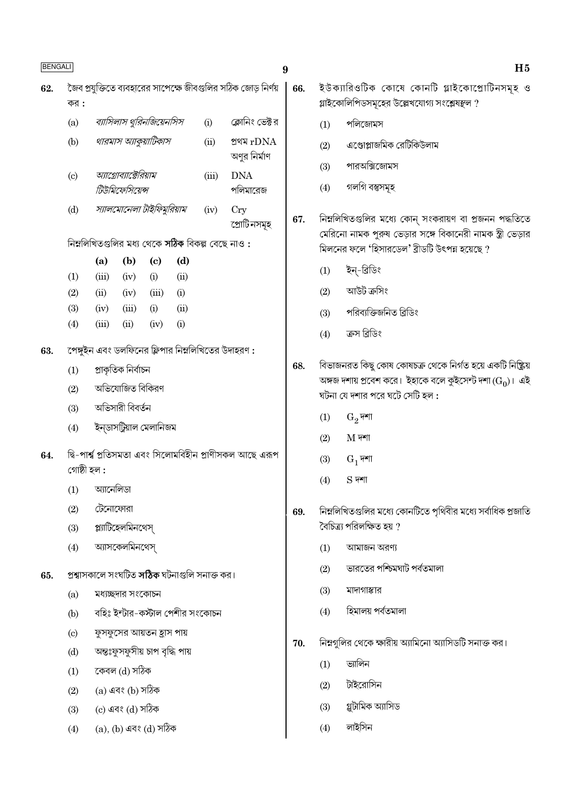| <b>BENGALI</b><br>9 |                                                    |                       |                                        |                                 |      |                                                     |                                                               |  |  |  |  |
|---------------------|----------------------------------------------------|-----------------------|----------------------------------------|---------------------------------|------|-----------------------------------------------------|---------------------------------------------------------------|--|--|--|--|
| 62.                 |                                                    |                       |                                        |                                 |      |                                                     | জৈব প্রযুক্তিতে ব্যবহারের সাপেক্ষে জীবগুলির সঠিক জোড় নির্ণয় |  |  |  |  |
|                     | কর :                                               |                       |                                        |                                 |      |                                                     |                                                               |  |  |  |  |
|                     | (a)                                                |                       |                                        | ব্যাসিলাস থুরিনজিয়েনসিস        |      | (i)                                                 | ক্লোনিং ভেক্টর                                                |  |  |  |  |
|                     | (b)                                                |                       |                                        | থারমাস অ্যাকুয়াটিকাস           |      | (ii)                                                | প্ৰথম rDNA<br>অণুর নির্মাণ                                    |  |  |  |  |
|                     | $\left( \mathrm{c}\right)$                         |                       | আগ্রোব্যাক্টেরিয়াম<br>টিউমিফেসিয়েন্স |                                 |      | (iii)                                               | <b>DNA</b><br>পলিমারেজ                                        |  |  |  |  |
|                     | (d)                                                |                       |                                        | স্যালমোনেলা টাইফিমুরিয়াম       |      | (iv)                                                | <b>Cry</b><br>প্রোটিনসমূহ                                     |  |  |  |  |
|                     | নিম্নলিখিতগুলির মধ্য থেকে সঠিক বিকল্প বেছে নাও :   |                       |                                        |                                 |      |                                                     |                                                               |  |  |  |  |
|                     |                                                    | (a)                   | (b)                                    | $\left( \mathrm{c}\right)$      | (d)  |                                                     |                                                               |  |  |  |  |
|                     | (1)                                                | (iii)                 | (iv)                                   | (i)                             | (ii) |                                                     |                                                               |  |  |  |  |
|                     | (2)                                                | (ii)                  | (iv)                                   | (iii)                           | (i)  |                                                     |                                                               |  |  |  |  |
|                     | (3)                                                | (iv)                  | (iii)                                  | (i)                             | (ii) |                                                     |                                                               |  |  |  |  |
|                     | (4)                                                | (iii)                 | (ii)                                   | (iv)                            | (i)  |                                                     |                                                               |  |  |  |  |
| 63.                 | পেঙ্গুইন এবং ডলফিনের ফ্লিপার নিম্নলিখিতের উদাহরণ : |                       |                                        |                                 |      |                                                     |                                                               |  |  |  |  |
|                     | (1)                                                | প্ৰাকৃতিক নিৰ্বাচন    |                                        |                                 |      |                                                     |                                                               |  |  |  |  |
|                     | (2)                                                |                       | অভিযোজিত বিকিরণ                        |                                 |      |                                                     |                                                               |  |  |  |  |
|                     | (3)                                                |                       | অভিসারী বিবর্তন                        |                                 |      |                                                     |                                                               |  |  |  |  |
|                     | (4)                                                |                       |                                        | ইন্ডাসট্ৰিয়াল মেলানিজম         |      |                                                     |                                                               |  |  |  |  |
| 64.                 | গোষ্ঠী হল :                                        |                       |                                        |                                 |      |                                                     | দ্বি-পাৰ্শ্ব প্ৰতিসমতা এবং সিলোমবিহীন প্ৰাণীসকল আছে এরূপ      |  |  |  |  |
|                     |                                                    | $(1)$ আনেলিডা         |                                        |                                 |      |                                                     |                                                               |  |  |  |  |
|                     | (2)                                                | টেনোফোরা              |                                        |                                 |      |                                                     |                                                               |  |  |  |  |
|                     | (3)                                                |                       | প্ল্যাটিহেলমিনথেস্                     |                                 |      |                                                     |                                                               |  |  |  |  |
|                     | (4)                                                |                       | অ্যাসকেলমিনথেস্                        |                                 |      |                                                     |                                                               |  |  |  |  |
| 65.                 |                                                    |                       |                                        |                                 |      | প্ৰশ্বাসকালে সংঘটিত <b>সঠিক</b> ঘটনাগুলি সনাক্ত কর। |                                                               |  |  |  |  |
|                     | (a)                                                |                       | মধ্যচ্ছদার সংকোচন                      |                                 |      |                                                     |                                                               |  |  |  |  |
|                     | (b)                                                |                       |                                        | বহিঃ ইন্টার-কস্টাল পেশীর সংকোচন |      |                                                     |                                                               |  |  |  |  |
|                     | $\left( \mathrm{c}\right)$                         |                       |                                        | ফুসফুসের আয়তন হ্রাস পায়       |      |                                                     |                                                               |  |  |  |  |
|                     | (d)                                                |                       |                                        | অন্তঃফুসফুসীয় চাপ বৃদ্ধি পায়  |      |                                                     |                                                               |  |  |  |  |
|                     | (1)                                                |                       | কেবল (d) সঠিক                          |                                 |      |                                                     |                                                               |  |  |  |  |
|                     | (2)                                                |                       | (a) এবং (b) সঠিক                       |                                 |      |                                                     |                                                               |  |  |  |  |
|                     | (3)                                                |                       | (c) এবং (d) সঠিক                       |                                 |      |                                                     |                                                               |  |  |  |  |
|                     | (4)                                                | (a), (b) এবং (d) সঠিক |                                        |                                 |      |                                                     |                                                               |  |  |  |  |

| 66. |     | ইউক্যারিওটিক কোষে কোনটি গ্লাইকোপ্রোটিনসমূহ ও<br>গ্লাইকোলিপিডসমূহের উল্লেখযোগ্য সংশ্লেষস্থল ? |
|-----|-----|----------------------------------------------------------------------------------------------|
|     | (1) | পলিজোমস                                                                                      |
|     | (2) | এণ্ডোপ্লাজমিক রেটিকিউলাম                                                                     |
|     | (3) | পারঅক্সিজোমস                                                                                 |
|     | (4) | গলগি বস্তুসমূহ                                                                               |
|     |     |                                                                                              |
| 67. |     | নিম্নলিখিতগুলির মধ্যে কোন্ সংকরায়ণ বা প্রজনন পদ্ধতিতে                                       |
|     |     | মেরিনো নামক পুরুষ ভেড়ার সঙ্গে বিকানেরী নামক স্ত্রী ভেড়ার                                   |
|     |     | মিলনের ফলে 'হিসারডেল' ব্রীডটি উৎপন্ন হয়েছে ?                                                |
|     |     | (1) ইন্-ব্ৰিডিং                                                                              |

 $H5$ 

- আউট ক্ৰসিং  $(2)$
- পরিব্যক্তিজনিত ব্রিডিং  $(3)$
- ক্ৰস ব্ৰিডিং  $(4)$
- বিভাজনরত কিছু কোষ কোষচক্র থেকে নির্গত হয়ে একটি নিষ্ক্রিয় 68. অঙ্গজ দশায় প্রবেশ করে। ইহাকে বলে কুইসেন্ট দশা  $(\overline{\mathrm{G}_0})$ । এই ঘটনা যে দশার পরে ঘটে সেটি হল :
	- $G_2$ দশা  $(1)$
	- $(2)$  $M$  দশা
	- $\mathrm{G}_1$ দশা  $(3)$
	- $S$  দশা  $(4)$
- নিম্নলিখিতগুলির মধ্যে কোনটিতে পৃথিবীর মধ্যে সর্বাধিক প্রজাতি 69. বৈচিত্ৰ্য পরিলক্ষিত হয় ?
	- $(1)$ আমাজন অরণ্য
	- ভারতের পশ্চিমঘাট পর্বতমালা  $(2)$
	- $(3)$ মাদাগাস্কার
	- হিমালয় পৰ্বতমালা  $(4)$
- নিম্নগুলির থেকে ক্ষারীয় অ্যামিনো অ্যাসিডটি সনাক্ত কর। 70.
	- ভ্যালিন  $(1)$
	- টাইরোসিন  $(2)$
	- গ্লুটামিক অ্যাসিড  $(3)$
	- লাইসিন  $(4)$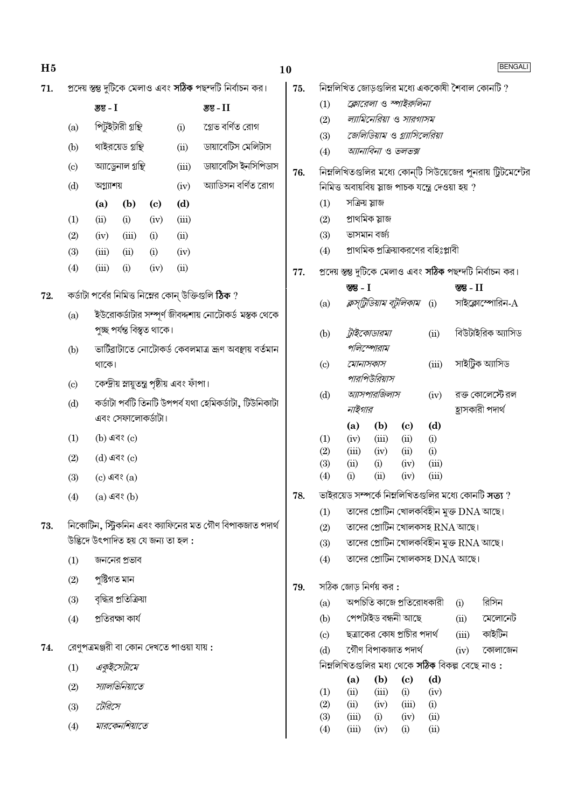| H <sub>5</sub> |     |                                           |                      |                                     |                                              |                                                                  | 10  |               |                                                   |                                                     |                                   |              |                                                 | <b>BENGALI</b>                                                   |
|----------------|-----|-------------------------------------------|----------------------|-------------------------------------|----------------------------------------------|------------------------------------------------------------------|-----|---------------|---------------------------------------------------|-----------------------------------------------------|-----------------------------------|--------------|-------------------------------------------------|------------------------------------------------------------------|
| 71.            |     |                                           |                      |                                     |                                              | প্রদেয় স্তম্ভ দুটিকে মেলাও এবং <b>সঠিক</b> পছন্দটি নির্বাচন কর। | 75. |               |                                                   |                                                     |                                   |              |                                                 | নিম্নলিখিত জোড়গুলির মধ্যে এককোষী শৈবাল কোনটি ?                  |
|                |     | স্তম্ভ - I                                |                      |                                     |                                              | স্তু - II                                                        |     | (1)           |                                                   | ক্লোরেলা ও স্পাইরুলিনা                              |                                   |              |                                                 |                                                                  |
|                | (a) |                                           | পিটুইটারী গ্রন্থি    |                                     | (i)                                          | গ্ৰেভ বৰ্ণিত রোগ                                                 |     | (2)           |                                                   | ল্যামিনেরিয়া ও সারগাসম                             |                                   |              |                                                 |                                                                  |
|                | (b) |                                           | থাইরয়েড গ্রন্থি     |                                     | (ii)                                         | ডায়াবেটিস মেলিটাস                                               |     | (3)<br>(4)    |                                                   | জেলিডিয়াম ও গ্র্যাসিলেরিয়া<br>অ্যানাবিনা ও ভলভক্স |                                   |              |                                                 |                                                                  |
|                | (c) |                                           | অ্যাড্রেনাল গ্রন্থি  |                                     | (iii)                                        | ডায়াবেটিস ইনসিপিডাস                                             |     |               |                                                   |                                                     |                                   |              |                                                 |                                                                  |
|                | (d) | অগ্ন্যাশয়                                |                      |                                     | (iv)                                         | অ্যাডিসন বর্ণিত রোগ                                              | 76. |               | নিমিত্ত অবায়বিয় স্লাজ পাচক যন্ত্রে দেওয়া হয় ? |                                                     |                                   |              |                                                 | নিম্নলিখিতগুলির মধ্যে কোন্টি সিউয়েজের পুনরায় ট্রিটমেন্টের      |
|                |     | (b)<br>(a)<br>$\left( \mathbf{c} \right)$ |                      | (d)                                 |                                              |                                                                  | (1) | সক্ৰিয় স্লাজ |                                                   |                                                     |                                   |              |                                                 |                                                                  |
|                | (1) | (ii)                                      | (i)                  | (iv)                                | (iii)                                        |                                                                  |     | (2)           | প্ৰাথমিক স্লাজ                                    |                                                     |                                   |              |                                                 |                                                                  |
|                | (2) | (iv)                                      | (iii)                | (i)                                 | (ii)                                         |                                                                  |     | (3)           | ভাসমান বৰ্জ্য                                     |                                                     |                                   |              |                                                 |                                                                  |
|                | (3) | (iii)                                     | (ii)                 | (i)                                 | (iv)                                         |                                                                  |     | (4)           |                                                   | প্রাথমিক প্রক্রিয়াকরণের বহিঃপ্লাবী                 |                                   |              |                                                 |                                                                  |
|                | (4) | (iii)                                     | (i)                  | (iv)                                | (ii)                                         |                                                                  | 77. |               |                                                   |                                                     |                                   |              |                                                 | প্রদেয় স্তম্ভ দুটিকে মেলাও এবং <b>সঠিক</b> পছন্দটি নির্বাচন কর। |
|                |     |                                           |                      |                                     |                                              |                                                                  |     |               | স্তম্ভ - $I$                                      |                                                     |                                   |              | স্তম্ভ - $II$                                   |                                                                  |
| 72.            |     |                                           |                      |                                     |                                              | কর্ডাটা পর্বের নিমিত্ত নিম্নের কোন্ উক্তিগুলি <b>ঠিক</b> ?       |     | (a)           |                                                   | <i>ক্লস্ট্রিডিয়াম বচ্টুলিকাম</i> (i)               |                                   |              |                                                 | সাইক্লোস্পোরিন- $\rm A$                                          |
|                | (a) |                                           |                      |                                     |                                              | ইউরোকর্ডাটার সম্পূর্ণ জীবদ্দশায় নোটোকর্ড মস্তক থেকে             |     |               |                                                   |                                                     |                                   |              |                                                 |                                                                  |
|                |     |                                           |                      | পুচ্ছ পৰ্যন্ত বিস্তৃত থাকে।         |                                              |                                                                  |     | (b)           |                                                   | ট্রাইকোডারমা                                        |                                   | (ii)         |                                                 | বিউটাইরিক অ্যাসিড                                                |
|                | (b) |                                           |                      |                                     |                                              | ভার্টিব্রাটাতে নোটোকর্ড কেবলমাত্র জ্রণ অবস্থায় বর্তমান          |     |               |                                                   | পলিস্পোরাম                                          |                                   |              |                                                 |                                                                  |
|                |     | থাকে।                                     |                      |                                     |                                              |                                                                  |     | (c)           | মোনাসকাস                                          | পারপিউরিয়াস                                        |                                   | (iii)        |                                                 | সাইট্ৰিক অ্যাসিড                                                 |
|                | (c) |                                           |                      |                                     | কেন্দ্রীয় স্নায়ুতন্ত্র পৃষ্ঠীয় এবং ফাঁপা। |                                                                  |     | (d)           |                                                   | অ্যাসপারজিলাস                                       |                                   | (iv)         |                                                 | রক্ত কোলেস্টেরল                                                  |
|                | (d) |                                           |                      |                                     |                                              | কৰ্ডাটা পৰ্বটি তিনটি উপপৰ্ব যথা হেমিকৰ্ডাটা, টিউনিকাটা           |     |               | নাইগার                                            |                                                     |                                   |              |                                                 | হ্রাসকারী পদার্থ                                                 |
|                |     |                                           | এবং সেফালোকর্ডাটা।   |                                     |                                              |                                                                  |     |               | (a)                                               | (b)                                                 | $\left( \mathbf{c} \right)$       | (d)          |                                                 |                                                                  |
|                | (1) |                                           | $(b)$ এবং $(c)$      |                                     |                                              |                                                                  |     | (1)           | (iv)                                              | (iii)                                               | (ii)                              | (i)          |                                                 |                                                                  |
|                | (2) |                                           | (d) এবং (c)          |                                     |                                              |                                                                  |     | (2)<br>(3)    | (iii)<br>(ii)                                     | (iv)<br>(i)                                         | (ii)<br>(iv)                      | (i)<br>(iii) |                                                 |                                                                  |
|                | (3) |                                           | $(c)$ এবং $(a)$      |                                     |                                              |                                                                  |     | (4)           | (i)                                               | (ii)                                                | (iv)                              | (iii)        |                                                 |                                                                  |
|                | (4) |                                           | $(a)$ এবং $(b)$      |                                     |                                              |                                                                  | 78. |               |                                                   |                                                     |                                   |              |                                                 | ভাইরয়েড সম্পর্কে নিম্নলিখিতগুলির মধ্যে কোনটি সত্য ?             |
|                |     |                                           |                      |                                     |                                              |                                                                  |     | (1)           |                                                   |                                                     |                                   |              | তাদের প্রোটিন খোলকবিহীন মুক্ত DNA আছে।          |                                                                  |
| 73.            |     |                                           |                      |                                     |                                              | নিকোটিন, স্ট্রিকনিন এবং ক্যাফিনের মত গৌণ বিপাকজাত পদার্থ         |     | (2)           |                                                   |                                                     |                                   |              | তাদের প্রোটিন খোলকসহ $\text{RNA}$ আছে।          |                                                                  |
|                |     |                                           |                      | উদ্ভিদে উৎপাদিত হয় যে জন্য তা হল : |                                              |                                                                  |     | (3)           |                                                   |                                                     |                                   |              | তাদের প্রোটিন খোলকবিহীন মুক্ত RNA আছে।          |                                                                  |
|                | (1) |                                           | জননের প্রভাব         |                                     |                                              |                                                                  |     | (4)           |                                                   |                                                     |                                   |              | তাদের প্রোটিন খোলকসহ $DNA$ আছে।                 |                                                                  |
|                | (2) | পুষ্টিগত মান                              |                      |                                     |                                              |                                                                  | 79. |               | সঠিক জোড় নির্ণয় কর :                            |                                                     |                                   |              |                                                 |                                                                  |
|                | (3) |                                           | বৃদ্ধির প্রতিক্রিয়া |                                     |                                              |                                                                  |     | (a)           |                                                   | অপচিতি কাজে প্রতিরোধকারী                            |                                   |              | (i)                                             | রিসিন                                                            |
|                | (4) |                                           | প্রতিরক্ষা কার্য     |                                     |                                              |                                                                  |     | (b)           |                                                   | পেপটাইড বন্ধনী আছে                                  |                                   |              | (ii)                                            | মেলোনেট                                                          |
|                |     |                                           |                      |                                     |                                              |                                                                  |     | (c)           |                                                   | ছত্রাকের কোষ প্রাচীর পদার্থ                         |                                   |              | (iii)                                           | কাইটিন                                                           |
| 74.            |     |                                           |                      |                                     | রেণুপত্রমঞ্জরী বা কোন দেখতে পাওয়া যায় :    |                                                                  |     | (d)           |                                                   | গৌণ বিপাকজাত পদাৰ্থ                                 |                                   |              | (iv)                                            | কোলাজেন                                                          |
|                | (1) |                                           | একুইসেটামে           |                                     |                                              |                                                                  |     |               |                                                   |                                                     |                                   |              | নিম্নলিখিতগুলির মধ্য থেকে সঠিক বিকল্প বেছে নাও: |                                                                  |
|                | (2) |                                           | স্যালভিনিয়াতে       |                                     |                                              |                                                                  |     | (1)           | (a)<br>(ii)                                       | (b)<br>(iii)                                        | $\left( \mathrm{e}\right)$<br>(i) | (d)<br>(iv)  |                                                 |                                                                  |
|                | (3) | টেরিসে                                    |                      |                                     |                                              |                                                                  |     | (2)           | (ii)                                              | (iv)                                                | (iii)                             | (i)          |                                                 |                                                                  |
|                | (4) |                                           | মারকেনশিয়াতে        |                                     |                                              |                                                                  |     | (3)           | (iii)                                             | (i)                                                 | (iv)                              | (ii)         |                                                 |                                                                  |
|                |     |                                           |                      |                                     |                                              |                                                                  |     | (4)           | (iii)                                             | (iv)                                                | (i)                               | (ii)         |                                                 |                                                                  |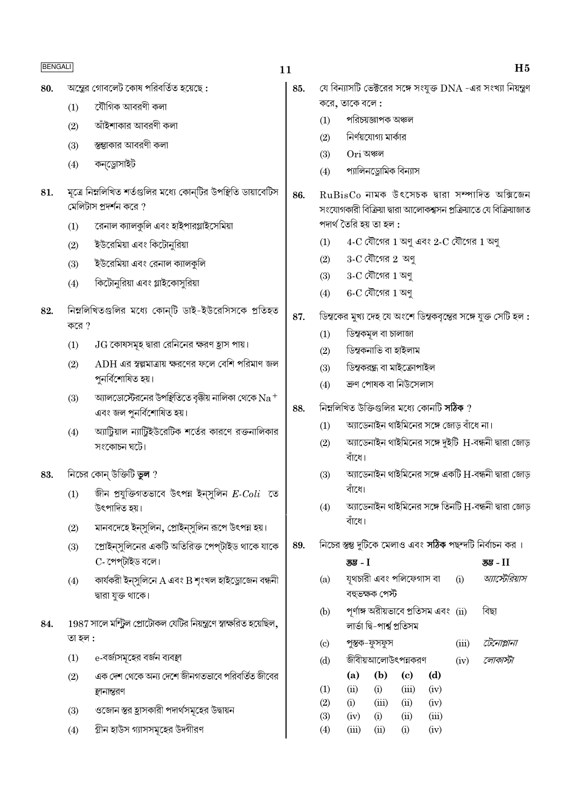| JG<br>А<br><u>,</u> |
|---------------------|
|---------------------|

 $11$ 

অস্ত্রের গোবলেট কোষ পরিবর্তিত হয়েছে: 80.

> যৌগিক আবরণী কলা  $(1)$

আঁইশাকার আবরণী কলা  $(2)$ 

- স্তম্ভাকার আবরণী কলা  $(3)$
- কনড্রোসাইট  $(4)$
- মূত্রে নিম্নলিখিত শর্তগুলির মধ্যে কোন্টির উপস্থিতি ডায়াবেটিস 81. মেলিটাস প্রদর্শন করে ?
	- রেনাল ক্যালকুলি এবং হাইপারগ্লাইসেমিয়া  $(1)$
	- ইউরেমিয়া এবং কিটোনুরিয়া  $(2)$
	- ইউরেমিয়া এবং রেনাল ক্যালকুলি  $(3)$
	- কিটোনুরিয়া এবং গ্লাইকোসুরিয়া  $(4)$
- নিম্নলিখিতগুলির মধ্যে কোন্টি ডাই-ইউরেসিসকে প্রতিহত 82. করে  $?$ 
	- $JG$  কোষসমূহ দ্বারা রেনিনের ক্ষরণ হ্রাস পায়।  $(1)$
	- $(2)$  $\overline{\mathrm{ADH}}$  এর স্বল্পমাত্রায় ক্ষরণের ফলে বেশি পরিমাণ জল পুনৰ্বিশোষিত হয়।
	- অ্যালডোস্টেরনের উপষ্থিতিতে বৃক্কীয় নালিকা থেকে  $\rm Na^+$  $(3)$ এবং জল পুনর্বিশোষিত হয়।
	- অ্যাটিয়াল ন্যাটিইউরেটিক শর্তের কারণে রক্তনালিকার  $(4)$ সংকোচন ঘটে।
- নিচের কোন্ উক্তিটি ভুল ? 83.
	- জীন প্রযুক্তিগতভাবে উৎপন্ন ইন্সুলিন  $E\text{-}Coli$  তে  $(1)$ উৎপাদিত হয়।
	- মানবদেহে ইন্সুলিন, প্রোইন্সুলিন রূপে উৎপন্ন হয়।  $(2)$
	- প্রোইন্সুলিনের একটি অতিরিক্ত পেপ্টাইড থাকে যাকে  $(3)$ C- পেপ্টাইড বলে।
	- কাৰ্যকরী ইন্সুলিনে A এবং B শৃংখল হাইড্রোজেন বন্ধনী  $(4)$ দ্বারা যুক্ত থাকে।
- 1987 সালে মন্ট্রিল প্রোটোকল যেটির নিয়ন্ত্রণে স্বাক্ষরিত হয়েছিল, 84. তা হল :
	- e-বর্জ্যসমূহের বর্জন ব্যবস্থা  $(1)$
	- এক দেশ থেকে অন্য দেশে জীনগতভাবে পরিবর্তিত জীবের  $(2)$ স্থানান্তরণ
	- ওজোন স্তর হ্রাসকারী পদার্থসমূহের উদ্বায়ন  $(3)$
	- গ্রীন হাউস গ্যাসসমূহের উদগীরণ  $(4)$

 $H<sub>5</sub>$ 

- যে বিন্যাসটি ভেক্টরের সঙ্গে সংযুক্ত DNA -এর সংখ্যা নিয়ন্ত্রণ 85. করে, তাকে বলে:
	- পরিচয়জ্ঞাপক অঞ্চল  $(1)$
	- নির্ণয়যোগ্য মার্কার  $(2)$
	- Ori অঞ্চল  $(3)$
	- প্যালিনড্রোমিক বিন্যাস  $(4)$
- $RuBisCo$  নামক উৎসেচক দ্বারা সম্পাদিত অক্সিজেন 86. সংযোগকারী বিক্রিয়া দ্বারা আলোকশ্বসন প্রক্রিয়াতে যে বিক্রিয়াজাত পদাৰ্থ তৈরি হয় তা হল :
	- $4-C$  যৌগের  $1$  অণু এবং  $2-C$  যৌগের  $1$  অণু  $(1)$
	- $3-C$  যৌগের  $2$  অণ  $(2)$
	- $3-C$  যৌগের  $1$  অণু  $(3)$
	- $6-C$  যৌগের  $1$  অণু  $(4)$
- ডিম্বকের মুখ্য দেহ যে অংশে ডিম্বকবৃন্তের সঙ্গে যুক্ত সেটি হল : 87.
	- ডিম্বকমূল বা চালাজা  $(1)$
	- ডিম্বকনাভি বা হাইলাম  $(2)$
	- ডিম্বকরন্ধ্র বা মাইক্রোপাইল  $(3)$
	- ক্ৰণ পোষক বা নিউসেলাস  $(4)$
- নিম্নলিখিত উক্তিগুলির মধ্যে কোনটি সঠিক ? 88.
	- অ্যাডেনাইন থাইমিনের সঙ্গে জোড় বাঁধে না।  $(1)$
	- আডেনাইন থাইমিনের সঙ্গে দুইটি H-বন্ধনী দ্বারা জোড়  $(2)$ বাঁধে।
	- অ্যাডেনাইন থাইমিনের সঙ্গে একটি H-বন্ধনী দ্বারা জোড়  $(3)$ বাঁধে।
	- অ্যাডেনাইন থাইমিনের সঙ্গে তিনটি H-বন্ধনী দ্বারা জোড়  $(4)$ বাঁশে।
- নিচের স্তম্ভ দুটিকে মেলাও এবং **সঠিক** পছন্দটি নির্বাচন কর। 89.

|                  | স্তম্ভ - I |                                      |           |                  |      | <u>उउ</u> - II |
|------------------|------------|--------------------------------------|-----------|------------------|------|----------------|
| (a)              |            | যূথচারী এবং পলিফেগাস বা              | (i)       | আর্স্টেরিয়াস    |      |                |
|                  |            | বহুভক্ষক পেস্ট                       |           |                  |      |                |
| (b)              |            | পূর্ণাঙ্গ অরীয়ভাবে প্রতিসম এবং (ii) | বিছা      |                  |      |                |
|                  |            | লাৰ্ভা দ্বি-পাৰ্শ্ব প্ৰতিসম          |           |                  |      |                |
| (c)              |            | পুস্তক–ফুসফুস                        | (iii)     | টেনোপ্লানা       |      |                |
| (d)              |            | জীবীয়আলোউৎপন্নকরণ                   |           |                  | (iv) | লোকাস্টা       |
|                  | (a)        | (b)                                  | (c)       | (d)              |      |                |
| $\left(1\right)$ | (ii)       | (i)                                  | (iii)     | (iv)             |      |                |
| (2)              | (i)        | (iii)                                | (ii)      | (iv)             |      |                |
| (3)              | (iv)       | (i)                                  | (ii)      | (iii)            |      |                |
| 74 Y             | $\left($   | 63 V                                 | $\bigcap$ | $(\cdot, \cdot)$ |      |                |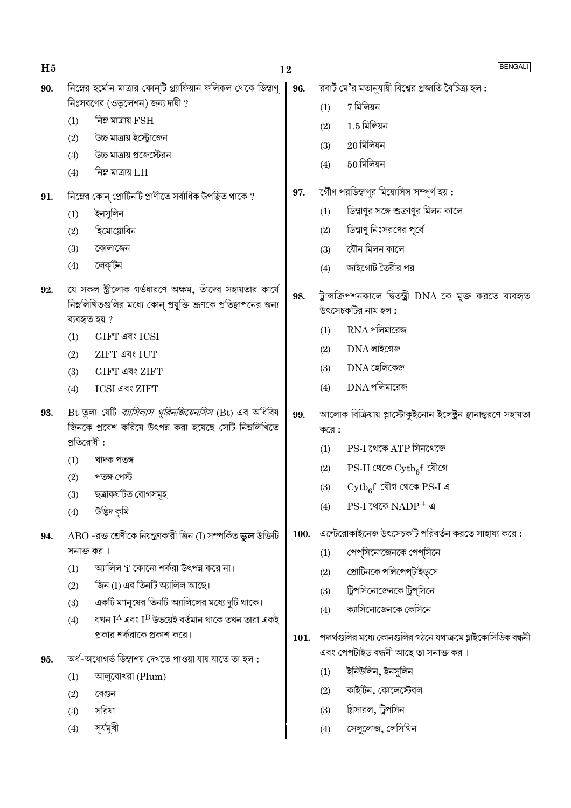| H <sub>5</sub> |            | 12                                                                                                                                           |      |                                                                                                                             | BENGALI                                                      |  |  |
|----------------|------------|----------------------------------------------------------------------------------------------------------------------------------------------|------|-----------------------------------------------------------------------------------------------------------------------------|--------------------------------------------------------------|--|--|
| 90.            |            | নিম্নের হর্মোন মাত্রার কোন্টি গ্র্যাফিয়ান ফলিকল থেকে ডিম্বাণু                                                                               | 96.  |                                                                                                                             | রবার্ট মে'র মতানুযায়ী বিশ্বের প্রজাতি বৈচিত্র্য হল :        |  |  |
|                |            | নিঃসরণের $($ ওভুলেশন) জন্য দায়ী ?                                                                                                           |      | (1)                                                                                                                         | 7 মিলিয়ন                                                    |  |  |
|                | (1)        | নিম্ন মাত্রায় $\operatorname{FSH}$                                                                                                          |      | (2)                                                                                                                         | $1.5$ মিলিয়ন                                                |  |  |
|                | (2)        | উচ্চ মাত্রায় ইস্ট্রোজেন                                                                                                                     |      | (3)                                                                                                                         | $20$ মিলিয়ন                                                 |  |  |
|                | (3)        | উচ্চ মাত্রায় প্রজেস্টেরন                                                                                                                    |      | (4)                                                                                                                         | $50$ মিলিয়ন                                                 |  |  |
|                | (4)        | নিম্ন মাত্রায় $LH$                                                                                                                          |      |                                                                                                                             |                                                              |  |  |
| 91.            |            | নিম্নের কোন্ প্রোটিনটি প্রাণীতে সর্বাধিক উপস্থিত থাকে ?                                                                                      | 97.  |                                                                                                                             | গৌণ পরডিম্বাণুর মিয়োসিস সম্পূর্ণ হয় :                      |  |  |
|                | (1)        | ইনসুলিন                                                                                                                                      |      | (1)                                                                                                                         | ডিস্বাণুর সঙ্গে শুক্রাণুর মিলন কালে                          |  |  |
|                | (2)        | হিমোগ্লোবিন                                                                                                                                  |      | (2)                                                                                                                         | ডিম্বাণু নিঃসরণের পূর্বে                                     |  |  |
|                | (3)        | কোলাজেন                                                                                                                                      |      | (3)                                                                                                                         | যৌন মিলন কালে                                                |  |  |
|                | (4)        | লেক্টিন                                                                                                                                      |      | (4)                                                                                                                         | জাইগোট তৈরীর পর                                              |  |  |
| 92.            |            | যে সকল স্ত্রীলোক গর্ভধারণে অক্ষম, তাঁদের সহায়তার কার্যে<br>নিম্নলিখিতগুলির মধ্যে কোন্ প্রযুক্তি ভ্রূণকে প্রতিস্থাপনের জন্য<br>ব্যবহৃত হয় ? | 98.  | ট্টান্সক্রিপশনকালে দ্বিতন্ত্রী DNA কে মুক্ত করতে ব্যবহৃত<br>উৎসেচকটির নাম হল :                                              |                                                              |  |  |
|                | (1)        | GIFT এবং ICSI                                                                                                                                |      | (1)                                                                                                                         | $RNA$ পলিমারেজ                                               |  |  |
|                | (2)        | <b>ZIFT এবং IUT</b>                                                                                                                          |      | (2)                                                                                                                         | $DNA$ লাইগেজ                                                 |  |  |
|                | (3)        | GIFT এবং ZIFT                                                                                                                                |      | (3)                                                                                                                         | $DNA$ হেলিকেজ                                                |  |  |
|                | (4)        | ICSI এবং ZIFT                                                                                                                                |      | (4)                                                                                                                         | $DNA$ পলিমারেজ                                               |  |  |
| 93.            | প্রতিরোধী: | Bt তুলা যেটি <i>ব্যাসিলাস থুরিনজিয়েনসিস</i> (Bt) এর অধিবিষ<br>জিনকে প্রবেশ করিয়ে উৎপন্ন করা হয়েছে সেটি নিম্নলিখিতে                        | 99.  | আলোক বিক্রিয়ায় প্লাস্টোকুইনোন ইলেক্ট্রন স্থানান্তরণে সহায়তা<br>$\overline{\phi}$ রে:<br>$PS-I$ থেকে $ATP$ সিনথেজে<br>(1) |                                                              |  |  |
|                | (1)        | খাদক পতঙ্গ                                                                                                                                   |      | (2)                                                                                                                         | $PS-II$ থেকে $\mathrm{Cytb}_6f$ যৌগে                         |  |  |
|                | (2)        | পতঙ্গ পেস্ট                                                                                                                                  |      | (3)                                                                                                                         | $\mathrm{Cytb}_6$ $\mathrm{f}$ যৌগ থেকে PS-I এ               |  |  |
|                | (3)        | ছত্রাকঘটিত রোগসমূহ<br>উদ্ভিদ কৃমি                                                                                                            |      | (4)                                                                                                                         | $PS-I$ থেকে $NADP^+$ এ                                       |  |  |
|                | (4)        |                                                                                                                                              |      |                                                                                                                             |                                                              |  |  |
| 94.            |            | $\rm{ABO}$ -রক্ত শ্রেণীকে নিয়ন্ত্রণকারী জিন (I) সম্পর্কিত ভুল উক্তিটি                                                                       | 100. |                                                                                                                             | এন্টেরোকাইনেজ উৎসেচকটি পরিবর্তন করতে সাহায্য করে :           |  |  |
|                | (1)        | সনাক্ত কর।<br>অ্যালিল 'i' কোনো শর্করা উৎপন্ন করে না।                                                                                         |      | (1)                                                                                                                         | পেপ্সিনোজেনকে পেপ্সিনে                                       |  |  |
|                | (2)        | জিন (I) এর তিনটি অ্যালিল আছে।                                                                                                                |      | (2)                                                                                                                         | প্রোটিনকে পলিপেপ্টাইড্সে                                     |  |  |
|                | (3)        | একটি ম্যানুষের তিনটি অ্যালিলের মধ্যে দুটি থাকে।                                                                                              |      | (3)                                                                                                                         | ট্রিপসিনোজেনকে ট্রিপ্সিনে                                    |  |  |
|                | (4)        | যখন $\rm I^A$ এবং $\rm I^B$ উভয়েই বর্তমান থাকে তখন তারা একই                                                                                 |      | (4)                                                                                                                         | ক্যাসিনোজেনকে কেসিনে                                         |  |  |
|                |            | প্রকার শর্করাকে প্রকাশ করে।                                                                                                                  | 101. |                                                                                                                             | পদার্থগুলির মধ্যে কোনগুলির গঠনে যথাক্রমে গ্লাইকোসিডিক বন্ধনী |  |  |
| 95.            |            | অৰ্ধ-অধোগৰ্ভ ডিম্বাশয় দেখতে পাওয়া যায় যাতে তা হল :                                                                                        |      |                                                                                                                             | এবং পেপটাইড বন্ধনী আছে তা সনাক্ত কর।                         |  |  |
|                | (1)        | আলুবোখরা (Plum)                                                                                                                              |      | (1)                                                                                                                         | ইনিউলিন, ইনসুলিন                                             |  |  |
|                | (2)        | বেগুন                                                                                                                                        |      | (2)                                                                                                                         | কাইটিন, কোলেস্টেরল                                           |  |  |
|                | (3)        | সরিষা                                                                                                                                        |      | (3)                                                                                                                         | গ্লিসারল, ট্রিপসিন                                           |  |  |
|                | (4)        | সূৰ্যমুখী                                                                                                                                    |      | (4)                                                                                                                         | সেলুলোজ, লেসিথিন                                             |  |  |
|                |            |                                                                                                                                              |      |                                                                                                                             |                                                              |  |  |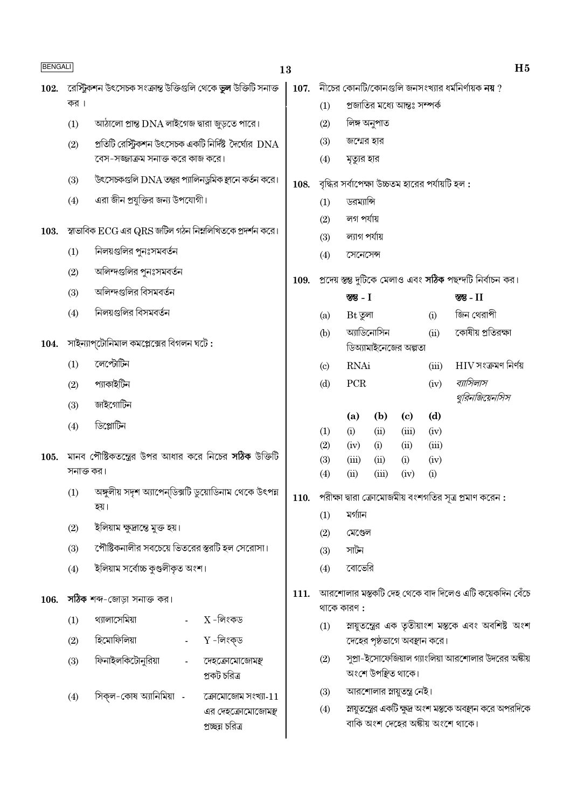| <b>BENGALI</b> |                                                                        |                                                                       |                    | 13   |                                                              |                       |                              |             |                                                 |                                                                                                  |
|----------------|------------------------------------------------------------------------|-----------------------------------------------------------------------|--------------------|------|--------------------------------------------------------------|-----------------------|------------------------------|-------------|-------------------------------------------------|--------------------------------------------------------------------------------------------------|
| 102.           |                                                                        | রেস্ট্রিকশন উৎসেচক সংক্রান্ত উক্তিগুলি থেকে <b>ভুল</b> উক্তিটি সনাক্ত |                    | 107. |                                                              |                       |                              |             |                                                 | নীচের কোনটি/কোনগুলি জনসংখ্যার ধর্মনির্ণায়ক নয় ?                                                |
|                | কর ।                                                                   |                                                                       |                    |      | (1)                                                          |                       | প্রজাতির মধ্যে আন্তঃ সম্পর্ক |             |                                                 |                                                                                                  |
|                | (1)                                                                    | আঠালো প্রান্ত DNA লাইগেজ দ্বারা জুড়তে পারে।                          |                    |      | (2)                                                          |                       | লিঙ্গ অনুপাত                 |             |                                                 |                                                                                                  |
|                | (2)                                                                    | প্রতিটি রেস্ট্রিকশন উৎসেচক একটি নির্দিষ্ট দৈর্ঘ্যের $\rm{DNA}$        |                    |      | (3)                                                          | জন্মের হার            |                              |             |                                                 |                                                                                                  |
|                |                                                                        | বেস-সজ্জাক্রম সনাক্ত করে কাজ করে।                                     |                    |      | (4)                                                          | মৃত্যুর হার           |                              |             |                                                 |                                                                                                  |
|                | (3)                                                                    | উৎসেচকগুলি DNA তন্তুর প্যালিনডুমিক স্থানে কর্তন করে।                  |                    | 108. |                                                              |                       |                              |             | বৃদ্ধির সর্বাপেক্ষা উচ্চতম হারের পর্যায়টি হল : |                                                                                                  |
|                | (4)                                                                    | এরা জীন প্রযুক্তির জন্য উপযোগী।                                       |                    |      | (1)                                                          | ডরম্যান্সি            |                              |             |                                                 |                                                                                                  |
|                |                                                                        |                                                                       |                    |      | (2)                                                          | লগ পৰ্যায়            |                              |             |                                                 |                                                                                                  |
| 103.           | স্বাভাবিক $\rm{ECG}$ এর $\rm{QRS}$ জটিল গঠন নিম্নলিখিতকে প্রদর্শন করে। |                                                                       |                    |      | (3)                                                          | ল্যাগ পর্যায়         |                              |             |                                                 |                                                                                                  |
|                | (1)                                                                    | নিলয়গুলির পুনঃসমবর্তন                                                |                    |      | (4)                                                          | সেনেসেন্স             |                              |             |                                                 |                                                                                                  |
|                | (2)                                                                    | অলিন্দগুলির পুনঃসমবর্তন                                               |                    | 109. | প্রদেয় স্তম্ভ দুটিকে মেলাও এবং সঠিক পছন্দটি নির্বাচন কর।    |                       |                              |             |                                                 |                                                                                                  |
|                | (3)                                                                    | অলিন্দগুলির বিসমবর্তন                                                 |                    |      |                                                              | স্ত - $I$             |                              |             |                                                 | স্তম্ভ - $II$                                                                                    |
|                | (4)                                                                    | নিলয়গুলির বিসমবর্তন                                                  |                    |      | (a)                                                          | $Bt$ তুলা             |                              |             | (i)                                             | জিন থেরাপী                                                                                       |
| 104.           |                                                                        | সাইন্যাপ্টোনিমাল কমপ্লেক্সের বিগলন ঘটে :                              |                    |      | (b)                                                          |                       | অ্যাডিনোসিন                  |             | (ii)                                            | কোষীয় প্রতিরক্ষা                                                                                |
|                | (1)                                                                    | লেপ্টোটিন                                                             |                    | (c)  | <b>RNAi</b>                                                  | ডিঅ্যামাইনেজের অল্পতা |                              | (iii)       | $\rm{HIV}$ সংক্ৰমণ নিৰ্ণয়                      |                                                                                                  |
|                | (2)                                                                    | প্যাকাইটিন                                                            |                    |      | (d)                                                          | PCR                   |                              |             | (iv)                                            | ব্যাসিলাস                                                                                        |
|                | (3)                                                                    | জাইগোটিন                                                              |                    |      |                                                              |                       |                              |             |                                                 | থুরিনজিয়েনসিস                                                                                   |
|                |                                                                        |                                                                       |                    |      |                                                              | (a)                   | (b)                          | (c)         | (d)                                             |                                                                                                  |
|                | (4)                                                                    | ডিপ্লোটিন                                                             |                    |      | (1)<br>(2)                                                   | (i)                   | (ii)                         | (iii)       | (iv)                                            |                                                                                                  |
| 105.           |                                                                        | মানব পৌষ্টিকতন্ত্রের উপর আধার করে নিচের <b>সঠিক</b> উক্তিটি           |                    |      |                                                              | (iv)<br>(iii)         | (i)<br>(ii)                  | (ii)<br>(i) | (iii)<br>(iv)                                   |                                                                                                  |
|                | সনাক্ত কর।                                                             |                                                                       |                    |      | (3)<br>(4)                                                   | (ii)                  | (iii)                        | (iv)        | (i)                                             |                                                                                                  |
|                | (1)                                                                    | অঙ্গুলীয় সদৃশ অ্যাপেন্ডিক্সটি ডুয়োডিনাম থেকে উৎপন্ন<br>হয়।         |                    |      | $110.$ পরীক্ষা দ্বারা ক্রোমোজমীয় বংশগতির সূত্র প্রমাণ করেন: |                       |                              |             |                                                 |                                                                                                  |
|                | (2)                                                                    | ইলিয়াম ক্ষুদ্ৰান্তে মুক্ত হয়।                                       |                    |      | (1)                                                          | মগ্যান                |                              |             |                                                 |                                                                                                  |
|                | (3)                                                                    | পৌষ্টিকনালীর সবচেয়ে ভিতরের স্তরটি হল সেরোসা।                         |                    |      | (2)<br>(3)                                                   | মেণ্ডেল<br>সাটন       |                              |             |                                                 |                                                                                                  |
|                | (4)                                                                    | ইলিয়াম সৰ্বোচ্চ কুণ্ডলীকৃত অংশ।                                      |                    |      | (4)                                                          | বোভেরি                |                              |             |                                                 |                                                                                                  |
|                |                                                                        |                                                                       |                    |      |                                                              |                       |                              |             |                                                 |                                                                                                  |
| 106.           |                                                                        | সঠিক শব্দ-জোড়া সনাক্ত কর।                                            |                    | 111. |                                                              | থাকে কারণ:            |                              |             |                                                 | আরশোলার মস্তকটি দেহ থেকে বাদ দিলেও এটি কয়েকদিন বেঁচে                                            |
|                | (1)                                                                    | থ্যালাসেমিয়া                                                         | $\rm X$ -লিংকড     |      | (1)                                                          |                       |                              |             |                                                 | স্নায়ুতন্ত্রের এক তৃতীয়াংশ মস্তকে এবং অবশিষ্ট অংশ                                              |
|                | (2)                                                                    | হিমোফিলিয়া                                                           | $Y$ -লিংক্ড        |      |                                                              |                       |                              |             | দেহের পৃষ্ঠভাগে অবস্থান করে।                    |                                                                                                  |
|                | (3)                                                                    | ফিনাইলকিটোনুরিয়া                                                     | দেহক্রোমোজোমন্ত্   |      | (2)                                                          |                       |                              |             |                                                 | সুপ্রা-ইসোফেজিয়াল গ্যাংলিয়া আরশোলার উদরের অঙ্কীয়                                              |
|                |                                                                        |                                                                       | প্ৰকট চরিত্ৰ       |      |                                                              |                       | অংশে উপস্থিত থাকে।           |             |                                                 |                                                                                                  |
|                | (4)                                                                    | সিক্ল-কোষ অ্যানিমিয়া -                                               | কোমোজোম সংখ্যা-11  |      | (3)                                                          |                       | আরশোলার স্নায়ুতন্ত্র নেই।   |             |                                                 |                                                                                                  |
|                |                                                                        |                                                                       | এর দেহক্রোমোজোমন্থ |      | (4)                                                          |                       |                              |             |                                                 | স্নায়ুতন্ত্রের একটি ক্ষুদ্র অংশ মস্তকে অবস্থান করে অপরদিকে<br>বাকি অংশ দেহের অঙ্কীয় অংশে থাকে। |
|                |                                                                        |                                                                       | প্ৰচ্ছন্ন চরিত্ৰ   |      |                                                              |                       |                              |             |                                                 |                                                                                                  |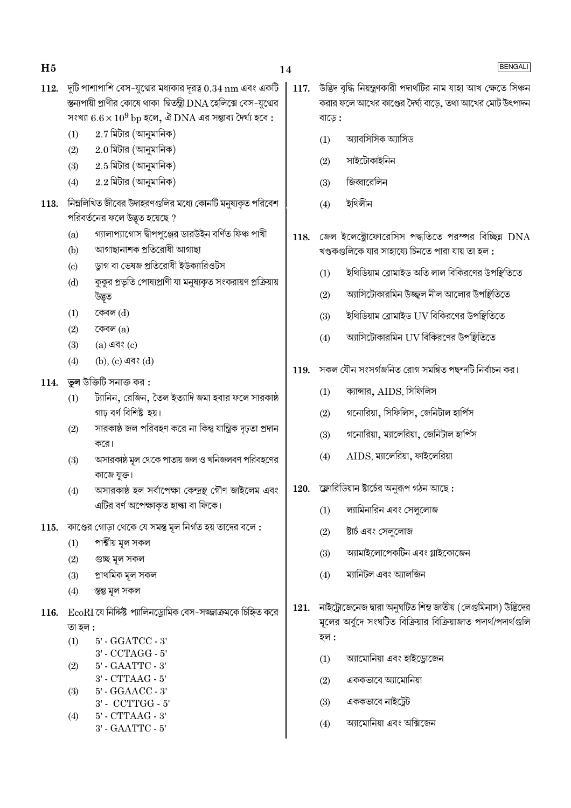- $112.$  দুটি পাশাপাশি বেস-যুগ্মের মধ্যকার দূরত্ব  $0.34\ \mathrm{nm}$  এবং একটি স্তন্যপায়ী প্রাণীর কোষে থাকা দ্বিতন্ত্রী DNA হেলিক্সে বেস-যগ্মের সংখ্যা  $6.6 \times 10^9$  bp হলে, ঐ DNA এর সম্ভাব্য দৈর্ঘ্য হবে:
	- $2.7$  মিটার (আনুমানিক)  $(1)$
	- $2.0$  মিটার (আনুমানিক)  $(2)$
	- $2.5$  মিটার (আনুমানিক)  $(3)$
	- $2.2$  মিটার (আনুমানিক)  $(4)$
- নিম্নলিখিত জীবের উদাহরণগুলির মধ্যে কোনটি মনুষ্যকৃত পরিবেশ 113. পরিবর্তনের ফলে উদ্ভূত হয়েছে ?
	- গ্যালাপ্যাগোস দ্বীপপুঞ্জের ডারউইন বর্ণিত ফিঞ্চ পাখী  $(a)$
	- আগাছানাশক প্ৰতিরোধী আগাছা  $(b)$
	- ড্রাগ বা ভেষজ প্রতিরোধী ইউক্যারিওটস  $\left( \mathrm{c}\right)$
	- কুকুর প্রভৃতি পোষ্যপ্রাণী যা মনুষ্যকৃত সংকরায়ণ প্রক্রিয়ায়  $(d)$ উদ্ভূত
	- $(1)$ কেবল (d)
	- কেবল $(a)$  $(2)$
	- $(3)$  $(a)$  এবং  $(c)$
	- $(4)$ (b), (c) এবং (d)
- $114.$  তুল উক্তিটি সনাক্ত কর:
	- ট্যানিন, রেজিন, তৈল ইত্যাদি জমা হবার ফলে সারকাষ্ঠ  $(1)$ গাঢ় বৰ্ণ বিশিষ্ট হয়।
	- সারকাষ্ঠ জল পরিবহণ করে না কিন্তু যান্ত্রিক দৃঢ়তা প্রদান  $(2)$ করে।
	- অসারকাষ্ঠ মূল থেকে পাতায় জল ও খনিজলবণ পরিবহণের  $(3)$ কাজে যুক্ত।
	- অসারকাষ্ঠ হল সর্বাপেক্ষা কেন্দ্রস্থ গৌণ জাইলেম এবং  $(4)$ এটির বর্ণ অপেক্ষাকৃত হাল্কা বা ফিকে।
- $115.$  কাণ্ডের গোড়া থেকে যে সমস্ত মূল নির্গত হয় তাদের বলে:
	- পাৰ্শ্বীয় মূল সকল  $(1)$
	- গুচ্ছ মূল সকল  $(2)$
	- প্ৰাথমিক মূল সকল  $(3)$
	- স্তম্ভ মূল সকল  $(4)$
- $116.$   $EcoRI$  যে নির্দ্দিষ্ট প্যালিনড্রোমিক বেস-সজ্জাক্রমকে চিহ্নিত করে তা হল :
	- $(1)$  $5'$  -  $GGATCC$  -  $3'$ 3' - CCTAGG - 5'
	- 5' GAATTC 3'  $(2)$
	- $3'$  CTTAAG  $5'$
	- 5' GGAACC 3'  $(3)$ 3' - CCTTGG - 5'  $(4)$ 5' - CTTAAG - 3'
	- 3' GAATTC 5'
- $117.$  উদ্ভিদ বৃদ্ধি নিয়ন্ত্ৰণকারী পদার্থটির নাম যাহা আখ ক্ষেতে সিঞ্চন করার ফলে আখের কাণ্ডের দৈর্ঘ্য বাডে, তথা আখের মোট উৎপাদন বাড়ে :
	- অ্যাবসিসিক অ্যাসিড  $(1)$
	- সাইটোকাইনিন  $(2)$
	- জিব্বারেলিন  $(3)$
	- ইথিলীন  $(4)$
- $118.$  জেল ইলেক্ট্রোফোরেসিস পদ্ধতিতে পরস্পর বিচ্ছিন  $\rm DNA$ খণ্ডকগুলিকে যার সাহায্যে চিনতে পারা যায় তা হল :
	- ইথিডিয়াম ব্রোমাইড অতি লাল বিকিরণের উপষ্টিতিতে  $(1)$
	- অ্যাসিটোকারমিন উজ্জ্বল নীল আলোর উপষ্টিতিতে  $(2)$
	- ইথিডিয়াম ব্রোমাইড UV বিকিরণের উপষ্<del>গ</del>ুতিতে  $(3)$
	- অ্যাসিটোকারমিন UV বিকিরণের উপস্থিতিতে  $(4)$
- $119.$  সকল যৌন সংসৰ্গজনিত রোগ সমন্বিত পছন্দটি নির্বাচন কর।
	- ক্যান্সার, AIDS, সিফিলিস  $(1)$
	- গনোরিয়া, সিফিলিস, জেনিটাল হার্পিস  $(2)$
	- গনোরিয়া, ম্যালেরিয়া, জেনিটাল হার্পিস  $(3)$
	- $AIDS$ , ম্যালেরিয়া, ফাইলেরিয়া  $(4)$
- $120.$  ফ্লোরিডিয়ান ষ্টার্চের অনরূপ গঠন আছে:
	- ল্যামিনারিন এবং সেল্লোজ  $(1)$
	- ষ্টার্চ এবং সেললোজ  $(2)$
	- অ্যামাইলোপেকটিন এবং গ্লাইকোজেন  $(3)$
	- ম্যানিটল এবং আলজিন  $(4)$
- 121. নাইট্রোজেনেজ দ্বারা অনুঘটিত শিম্ব জাতীয় (লেগুমিনাস) উদ্ভিদের মূলের অর্বুদে সংঘটিত বিক্রিয়ার বিক্রিয়াজাত পদার্থ/পদার্থগুলি হল :
	- অ্যামোনিয়া এবং হাইড্রোজেন  $(1)$
	- এককভাবে অ্যামোনিয়া  $(2)$
	- $(3)$ এককভাবে নাইটেট
	- আমোনিয়া এবং অক্সিজেন  $(4)$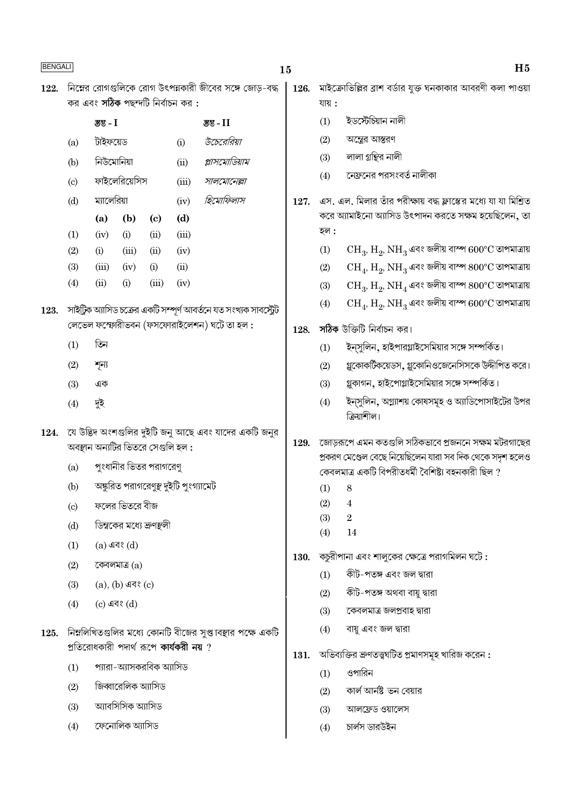|      | <b>BENGALI</b>             |                                   |                         |                            |                                                 |                                                                    |                                                                 |            | H <sub>5</sub>                                                                           |  |  |  |
|------|----------------------------|-----------------------------------|-------------------------|----------------------------|-------------------------------------------------|--------------------------------------------------------------------|-----------------------------------------------------------------|------------|------------------------------------------------------------------------------------------|--|--|--|
| 122. |                            |                                   |                         |                            |                                                 | নিম্নের রোগগুলিকে রোগ উৎপন্নকারী জীবের সঙ্গে জোড়-বদ্ধ             | 126.                                                            |            | মাইক্রোভিল্লির ব্রাশ বর্ডার যুক্ত ঘনকাকার আবরণী কলা পাওয়া                               |  |  |  |
|      |                            |                                   |                         |                            | কর এবং <b>সঠিক</b> পছন্দটি নির্বাচন কর <b>:</b> |                                                                    |                                                                 | যায়:      |                                                                                          |  |  |  |
|      |                            | স্তম্ভ - $I$                      |                         |                            |                                                 | $35 - 11$                                                          |                                                                 | (1)        | ইডস্টেচিয়ান নালী                                                                        |  |  |  |
|      | (a)                        | টাইফয়েড                          |                         |                            | (i)                                             | উচেরেরিয়া                                                         |                                                                 | (2)        | অস্ত্রের আস্তরণ                                                                          |  |  |  |
|      | (b)                        | নিউমোনিয়া                        |                         |                            | (ii)                                            | প্লাসমোডিয়াম                                                      |                                                                 | (3)        | লালা গ্রন্থির নালী                                                                       |  |  |  |
|      | $\left( \mathrm{c}\right)$ |                                   | ফাইলেরিয়েসিস           |                            | (iii)                                           | সালমোনেল্লা                                                        |                                                                 | (4)        | নেফ্রনের পরসংবর্ত নালীকা                                                                 |  |  |  |
|      | (d)                        | ম্যালেরিয়া<br>(iv)               |                         | হিমোফিলাস                  | 127.                                            |                                                                    | এস. এল. মিলার তাঁর পরীক্ষায় বদ্ধ ফ্লাস্কের মধ্যে যা যা মিশ্রিত |            |                                                                                          |  |  |  |
|      |                            | (a)                               | (b)                     | $\left( \mathrm{c}\right)$ | (d)                                             |                                                                    |                                                                 |            | করে অ্যামাইনো অ্যাসিড উৎপাদন করতে সক্ষম হয়েছিলেন, তা                                    |  |  |  |
|      | (1)                        | (iv)                              | (i)                     | (ii)                       | (iii)                                           |                                                                    |                                                                 | হল :       |                                                                                          |  |  |  |
|      | (2)                        | (i)                               | (iii)                   | (ii)                       | (iv)                                            |                                                                    |                                                                 | (1)        | $\rm CH_{3}$ , $\rm H_{2}$ , $\rm NH_{3}$ এবং জলীয় বাস্প $600^{\circ}\rm C$ তাপমাত্রায় |  |  |  |
|      | (3)                        | (iii)                             | (iv)                    | (i)                        | (ii)                                            |                                                                    |                                                                 | (2)        | $\rm CH_{4}$ , $\rm H_{2}$ , $\rm NH_{3}$ এবং জলীয় বাস্প $\rm 800^{\circ}C$ তাপমাত্রায় |  |  |  |
|      | (4)                        | (ii)                              | (i)                     | (iii)                      | (iv)                                            |                                                                    |                                                                 | (3)        | $\rm CH_{3}$ , $\rm H_{2}$ , $\rm NH_{4}$ এবং জলীয় বাস্প $\rm 800^{\circ}C$ তাপমাত্রায় |  |  |  |
| 123. |                            |                                   |                         |                            |                                                 | সাইট্রিক অ্যাসিড চক্রের একটি সম্পূর্ণ আবর্তনে যত সংখ্যক সাবস্ট্রেট |                                                                 | (4)        | $\rm CH_{4}$ , $\rm H_{2}$ , $\rm NH_{3}$ এবং জলীয় বাস্প $600^{\circ}\rm C$ তাপমাত্রায় |  |  |  |
|      |                            |                                   |                         |                            |                                                 | লেভেল ফস্ফোরীভবন (ফসফোরাইলেশন) ঘটে তা হল :                         | 128.                                                            |            | সঠিক উক্তিটি নিৰ্বাচন কর।                                                                |  |  |  |
|      | (1)                        | তিন                               |                         |                            |                                                 |                                                                    |                                                                 | (1)        | ইন্সুলিন, হাইপারগ্লাইসেমিয়ার সঙ্গে সম্পর্কিত।                                           |  |  |  |
|      | (2)                        | শূন্য                             |                         |                            |                                                 |                                                                    |                                                                 | (2)        | গ্লুকোকর্টিকয়েডস, গ্লুকোনিওজেনেসিসকে উদ্দীপিত করে।                                      |  |  |  |
|      | (3)                        | এক                                |                         |                            |                                                 |                                                                    |                                                                 | (3)        | গ্লুকাগন, হাইপোগ্লাইসেমিয়ার সঙ্গে সম্পর্কিত।                                            |  |  |  |
|      | (4)                        | দুই                               |                         |                            |                                                 |                                                                    |                                                                 | (4)        | ইন্সুলিন, অগ্ন্যাশয় কোষসমূহ ও অ্যাডিপোসাইটের উপর<br>ক্রিয়াশীল।                         |  |  |  |
| 124. |                            |                                   |                         |                            |                                                 | যে উদ্ভিদ অংশগুলির দুইটি জনু আছে এবং যাদের একটি জনুর               | 129.                                                            |            | জোড়রূপে এমন কতগুলি সঠিকভাবে প্রজননে সক্ষম মটরগাছের                                      |  |  |  |
|      |                            | অবস্থান অন্যটির ভিতরে সেগুলি হল : |                         |                            |                                                 |                                                                    |                                                                 |            | প্রকরণ মেণ্ডেল বেছে নিয়েছিলেন যারা সব দিক থেকে সদৃশ হলেও                                |  |  |  |
|      | (a)                        |                                   |                         | পুংধানীর ভিতর পরাগরেণু     |                                                 |                                                                    |                                                                 |            | কেবলমাত্র একটি বিপরীতধর্মী বৈশিষ্ট্য বহনকারী ছিল ?                                       |  |  |  |
|      | (b)                        |                                   |                         |                            | অঙ্কুরিত পরাগরেণুস্থ দুইটি পুংগ্যামেট           |                                                                    |                                                                 | $(1)$ 8    |                                                                                          |  |  |  |
|      | $\left( \mathrm{c}\right)$ |                                   | ফলের ভিতরে বীজ          |                            |                                                 |                                                                    |                                                                 | (2)        | 4                                                                                        |  |  |  |
|      | (d)                        |                                   |                         | ডিম্বকের মধ্যে ভ্রুণস্থলী  |                                                 |                                                                    |                                                                 | (3)<br>(4) | $\sqrt{2}$<br>14                                                                         |  |  |  |
|      | (1)                        |                                   | $(a)$ এবং $(d)$         |                            |                                                 |                                                                    |                                                                 |            |                                                                                          |  |  |  |
|      | (2)                        |                                   | কেবলমাত্র (a)           |                            |                                                 |                                                                    | 130.                                                            |            | কচুরীপানা এবং শালুকের ক্ষেত্রে পরাগমিলন ঘটে :                                            |  |  |  |
|      | (3)                        |                                   | $(a)$ , $(b)$ এবং $(c)$ |                            |                                                 |                                                                    |                                                                 | (1)        | কীট-পতঙ্গ এবং জল দ্বারা                                                                  |  |  |  |
|      | (4)                        |                                   | $(c)$ এবং $(d)$         |                            |                                                 |                                                                    |                                                                 | (2)        | কীট-পতঙ্গ অথবা বায়ু দ্বারা                                                              |  |  |  |
|      |                            |                                   |                         |                            |                                                 |                                                                    |                                                                 | (3)        | কেবলমাত্র জলপ্রবাহ দ্বারা                                                                |  |  |  |
| 125. |                            |                                   |                         |                            |                                                 | নিম্নলিখিতগুলির মধ্যে কোনটি বীজের সুপ্তাবস্থার পক্ষে একটি          |                                                                 | (4)        | বায়ু এবং জল দ্বারা                                                                      |  |  |  |
|      |                            |                                   |                         |                            | প্রতিরোধকারী পদার্থ রূপে <b>কার্যকরী নয়</b> ?  |                                                                    | 131.                                                            |            | অভিব্যক্তির ভ্রুণতত্ত্বঘটিত প্রমাণসমূহ খারিজ করেন :                                      |  |  |  |
|      | (1)                        |                                   |                         | প্যারা–অ্যাসকরবিক অ্যাসিড  |                                                 |                                                                    |                                                                 | (1)        | ওপারিন                                                                                   |  |  |  |
|      | (2)                        |                                   | জিব্বারেলিক অ্যাসিড     |                            |                                                 |                                                                    |                                                                 | (2)        | কার্ল আর্নষ্ট ভন বেয়ার                                                                  |  |  |  |
|      | (3)                        |                                   | অ্যাবসিসিক অ্যাসিড      |                            |                                                 |                                                                    |                                                                 | (3)        | আলফ্ৰেড ওয়ালেস                                                                          |  |  |  |
|      | (4)                        |                                   | ফেনোলিক অ্যাসিড         |                            |                                                 |                                                                    |                                                                 | (4)        | চাৰ্লস ডারউইন                                                                            |  |  |  |
|      |                            |                                   |                         |                            |                                                 |                                                                    |                                                                 |            |                                                                                          |  |  |  |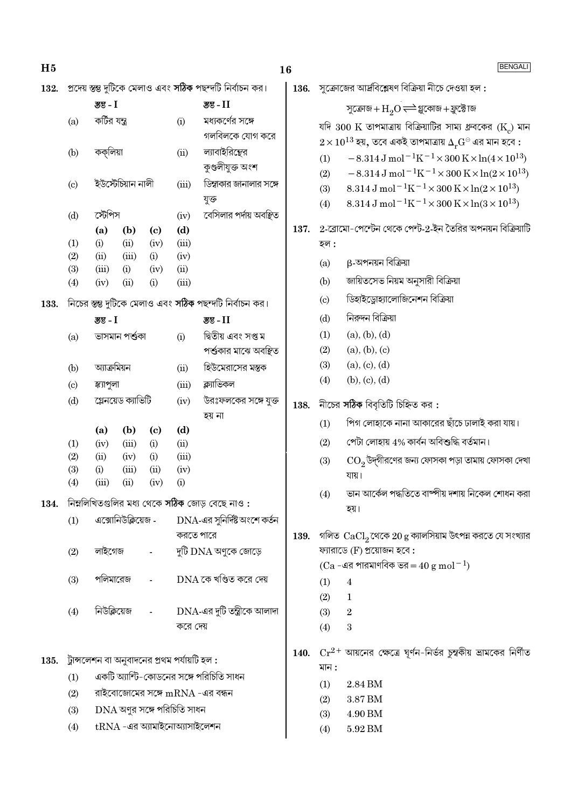| H <sub>5</sub> |     |                                               |              |                                     |              |                                                           | 16   |            | BENGALI                                                                                                        |
|----------------|-----|-----------------------------------------------|--------------|-------------------------------------|--------------|-----------------------------------------------------------|------|------------|----------------------------------------------------------------------------------------------------------------|
| 132.           |     |                                               |              |                                     |              | প্রদেয় স্তম্ভ দুটিকে মেলাও এবং সঠিক পছন্দটি নির্বাচন কর। | 136. |            | সুক্রোজের আর্দ্রবিশ্লেষণ বিক্রিয়া নীচে দেওয়া হল :                                                            |
|                |     | স্তু - $I$                                    |              |                                     |              | স্তুভ - II                                                |      |            | সুক্ৰোজ + $H_2O \rightleftharpoons$ গ্লুকোজ + ফ্ৰুক্টোজ                                                        |
|                | (a) | কর্টির যন্ত্র                                 |              |                                     | (i)          | মধ্যকর্ণের সঙ্গে                                          |      |            | যদি $300 \text{ K}$ তাপমাত্রায় বিক্রিয়াটির সাম্য ধ্রুবকের (K) মান                                            |
|                |     |                                               |              |                                     |              | গলবিলকে যোগ করে                                           |      |            | $2\!\times\!10^{13}$ হয়, তবে একই তাপমাত্রায় $\Delta_r\!\!\operatorname{G}^{\ominus}$ এর মান হবে :            |
|                | (b) | কক্লিয়া                                      |              |                                     | (ii)         | ল্যাবাইরিন্থের                                            |      | (1)        | $-8.314 \,\mathrm{J} \,\mathrm{mol}^{-1} \mathrm{K}^{-1} \times 300 \,\mathrm{K} \times \ln(4 \times 10^{13})$ |
|                |     |                                               |              |                                     |              | কুণ্ডলীযুক্ত অংশ                                          |      | (2)        | $-8.314 \,\mathrm{J}$ mol <sup>-1</sup> K <sup>-1</sup> ×300 K×ln(2×10 <sup>13</sup> )                         |
|                | (c) | ইউস্টেচিয়ান নালী                             |              |                                     | (iii)        | ডিম্বাকার জানালার সঙ্গে                                   |      | (3)        | 8.314 J mol <sup>-1</sup> K <sup>-1</sup> × 300 K × ln(2 × 10 <sup>13</sup> )                                  |
|                |     |                                               |              |                                     |              | যুক্ত                                                     |      | (4)        | 8.314 J mol <sup>-1</sup> K <sup>-1</sup> × 300 K × ln(3 × 10 <sup>13</sup> )                                  |
|                | (d) | স্টেপিস                                       |              |                                     | (iv)         | বেসিলার পর্দায় অবস্থিত                                   | 137. |            | 2-রোমো-পেন্টেন থেকে পেন্ট-2-ইন তৈরির অপনয়ন বিক্রিয়াটি                                                        |
|                | (1) | (a)<br>(i)                                    | (b)<br>(ii)  | $\left( \mathbf{c} \right)$<br>(iv) | (d)<br>(iii) |                                                           |      | হল :       |                                                                                                                |
|                | (2) | (ii)                                          | (iii)        | (i)                                 | (iv)         |                                                           |      |            | β-অপনয়ন বিক্রিয়া                                                                                             |
|                | (3) | (iii)                                         | (i)          | (iv)                                | (ii)         |                                                           |      | (a)        |                                                                                                                |
|                | (4) | (iv)                                          | (ii)         | (i)                                 | (iii)        |                                                           |      | (b)        | জায়িতসেভ নিয়ম অনুসারী বিক্রিয়া                                                                              |
| 133.           |     |                                               |              |                                     |              | নিচের স্তম্ভ দুটিকে মেলাও এবং সঠিক পছন্দটি নির্বাচন কর।   |      | (c)        | ডিহাইড্রোহ্যালোজিনেশন বিক্রিয়া                                                                                |
|                |     | <b>স্তু - I</b>                               |              |                                     |              | डुड - $II$                                                |      | (d)        | নিরুদন বিক্রিয়া                                                                                               |
|                | (a) | ভাসমান পৰ্শুকা                                |              |                                     | (i)          | দ্বিতীয় এবং সপ্ত ম                                       |      | (1)        | (a), (b), (d)                                                                                                  |
|                |     |                                               |              |                                     |              | পৰ্শ্তকার মাঝে অবস্থিত                                    |      | (2)        | (a), (b), (c)                                                                                                  |
|                | (b) | আক্ৰমিয়ন                                     |              |                                     | (ii)         | হিউমেরাসের মস্তক                                          |      | (3)        | (a), (c), (d)                                                                                                  |
|                | (c) | স্ক্যাপুলা                                    |              |                                     | (iii)        | ক্ল্যাভিকল                                                |      | (4)        | (b), (c), (d)                                                                                                  |
|                | (d) | গ্লেনয়েড ক্যাভিটি                            |              |                                     | (iv)         | উরঃফলকের সঙ্গে যুক্ত                                      | 138. |            | নীচের সঠিক বিবৃতিটি চিহ্নিত কর:                                                                                |
|                |     |                                               |              |                                     |              | হয় না                                                    |      | (1)        | পিগ লোহাকে নানা আকারের ছাঁচে ঢালাই করা যায়।                                                                   |
|                | (1) | (a)<br>(iv)                                   | (b)<br>(iii) | $\left( \mathbf{c} \right)$<br>(i)  | (d)<br>(ii)  |                                                           |      | (2)        | পেটা লোহায় 4% কাৰ্বন অবিশুদ্ধি বৰ্তমান।                                                                       |
|                | (2) | (ii)                                          | (iv)         | (i)                                 | (iii)        |                                                           |      | (3)        | ${\rm CO}_2$ উদ্গীরণের জন্য ফোসকা পড়া তামায় ফোসকা দেখা                                                       |
|                | (3) | (i)                                           | (iii)        | (ii)                                | (iv)         |                                                           |      |            | যায়।                                                                                                          |
|                | (4) | (iii)                                         | (ii)         | (iv)                                | (i)          |                                                           |      | (4)        | ভান আর্কেল পদ্ধতিতে বাষ্পীয় দশায় নিকেল শোধন করা                                                              |
| 134.           |     |                                               |              |                                     |              | নিম্নলিখিতগুলির মধ্য থেকে সঠিক জোড় বেছে নাও:             |      |            | হয়।                                                                                                           |
|                | (1) | এক্সোনিউক্লিয়েজ -                            |              |                                     |              | DNA-এর সুনির্দিষ্ট অংশে কর্তন                             |      |            |                                                                                                                |
|                |     |                                               |              |                                     | করতে পারে    |                                                           | 139. |            | গলিত $\ \ \mathrm{CaCl}_{2}$ থেকে $20\ \mathrm{g}$ ক্যালসিয়াম উৎপন্ন করতে যে সংখ্যার                          |
|                | (2) | লাইগেজ                                        |              |                                     |              | দুটি DNA অণুকে জোড়ে                                      |      |            | ফ্যারাডে (F) প্রয়োজন হবে:                                                                                     |
|                |     |                                               |              |                                     |              | $DNA$ কে খণ্ডিত করে দেয়                                  |      |            | $(Ca - 4a$ পারমাণবিক ভর = $40 \text{ g mol}^{-1}$ )                                                            |
|                | (3) | পলিমারেজ                                      |              |                                     |              |                                                           |      | (1)        | $\boldsymbol{4}$                                                                                               |
|                |     | নিউক্লিয়েজ                                   |              |                                     |              | $DNA$ -এর দুটি তন্ত্রীকে আলাদা                            |      | (2)        | $\mathbf{1}$                                                                                                   |
|                | (4) |                                               |              |                                     | করে দেয়     |                                                           |      | (3)<br>(4) | $\,2$<br>$\sqrt{3}$                                                                                            |
|                |     |                                               |              |                                     |              |                                                           |      |            |                                                                                                                |
| 135.           |     | ট্টান্সলেশন বা অনুবাদনের প্রথম পর্যায়টি হল : |              |                                     |              |                                                           | 140. |            | $Cr^{2+}$ আয়নের ক্ষেত্রে ঘূর্ণন-নির্ভর চুম্বকীয় ভ্রামকের নির্ণীত                                             |
|                | (1) |                                               |              |                                     |              | একটি অ্যান্টি-কোডনের সঙ্গে পরিচিতি সাধন                   |      | মান :      |                                                                                                                |
|                | (2) |                                               |              |                                     |              | রাইবোজোমের সঙ্গে $mRNA$ -এর বন্ধন                         |      | (1)        | 2.84 BM                                                                                                        |
|                | (3) | $DNA$ অণুর সঙ্গে পরিচিতি সাধন                 |              |                                     |              |                                                           |      | (2)        | 3.87 BM                                                                                                        |
|                | (4) | $tRNA$ -এর অ্যামাইনোঅ্যাসাইলেশন               |              |                                     |              |                                                           |      | (3)        | 4.90 BM                                                                                                        |
|                |     |                                               |              |                                     |              |                                                           |      | (4)        | 5.92 BM                                                                                                        |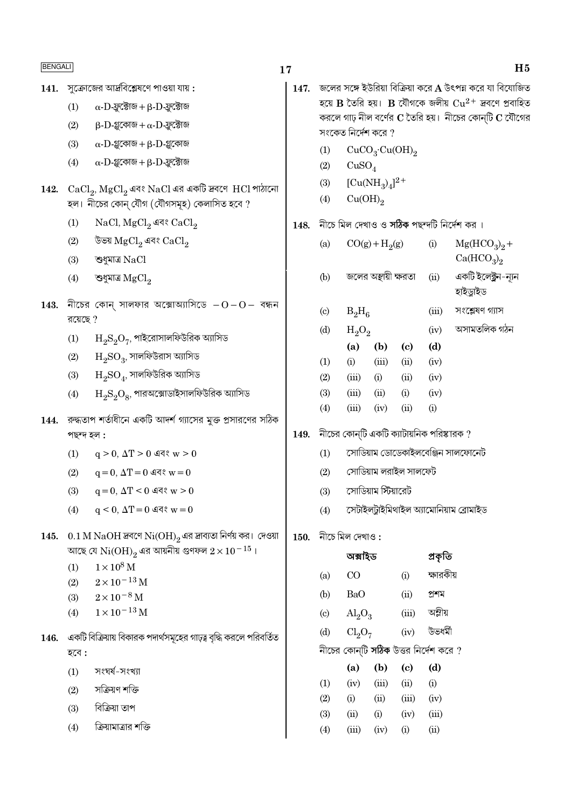$141.$  সুক্রোজের আর্দ্রবিশ্লেষণে পাওয়া যায়:

- $\alpha$ -D-ফ্লুক্টোজ + β-D-ফ্লুক্টোজ  $(1)$
- $\beta$ -D-গ্লুকোজ + α-D-ফ্লুক্টোজ  $(2)$
- $(3)$  $\alpha$ - $D$ -গ্লুকোজ + β- $D$ -গ্লুকোজ
- $(4)$  $\alpha$ - $D$ -গ্লুকোজ +  $\beta$ - $D$ -ফ্রুক্টোজ
- 142.  $CaCl<sub>2</sub>$ ,  $MgCl<sub>2</sub>$  এবং  $NaCl$  এর একটি দ্রবণে  $HCl$  পাঠানো হল। নীচের কোন্ যৌগ (যৌগসমূহ) কেলাসিত হবে ?
	- NaCl, MgCl<sub>2</sub> এবং CaCl<sub>2</sub>  $(1)$
	- $(2)$ উভয়  $MgCl_2$  এবং  $CaCl_2$
	- $(3)$ শুধমাত্র  $NaCl$
	- শুধুমাত্ৰ  $MgCl<sub>2</sub>$  $(4)$
- $143.$  নীচের কোন্ সালফার অক্সোঅ্যাসিডে  $-0-0-$  বন্ধন রয়েছে  $?$ 
	- $\rm H_2S_2O_7$ , পাইরোসালফিউরিক অ্যাসিড  $(1)$
	- $\mathrm{H}_{\mathrm{o}}\mathrm{SO}_{3}$ , সালফিউরাস অ্যাসিড  $(2)$
	- $\mathrm{H}_{\mathrm{o}}\mathrm{SO}_4$ , সালফিউরিক অ্যাসিড  $(3)$
	- $\rm H_2S_2O_8$ , পারঅক্সোডাইসালফিউরিক অ্যাসিড  $(4)$
- $144.$  রুদ্ধতাপ শর্তাধীনে একটি আদর্শ গ্যাসের মুক্ত প্রসারণের সঠিক পছন্দ হল :
	- $q > 0$ ,  $\Delta T > 0$  এবং  $w > 0$  $(1)$
	- $q = 0$ ,  $\Delta T = 0$  এবং w = 0  $(2)$
	- $q = 0$ ,  $\Delta T < 0$  এবং  $w > 0$  $(3)$
	- $q \le 0$ ,  $\Delta T = 0$  এবং  $w = 0$  $(4)$
- 145.  $0.1 M NaOH$  দ্রবণে  $Ni(OH)_{2}$ এর দ্রাব্যতা নির্ণয় কর। দেওয়া আছে যে  $Ni(OH)$ , এর আয়নীয় গুণফল  $2 \times 10^{-15}$ ।
	- $1 \times 10^8$  M  $(1)$
	- $(2)$  $2 \times 10^{-13}$  M
	- $(3)$  $2 \times 10^{-8}$  M
	- $1 \times 10^{-13}$  M  $(4)$
- $146.$  একটি বিক্রিয়ায় বিকারক পদার্থসমূহের গাঢ়ত্ব বৃদ্ধি করলে পরিবর্তিত হবে :
	- সংঘৰ্ষ-সংখ্যা  $(1)$
	- সক্ৰিয়ণ শক্তি  $(2)$
	- বিক্রিয়া তাপ  $(3)$
	- ক্রিয়ামাত্রার শক্তি  $(4)$

 $17$ 

 $H<sub>5</sub>$ 

- 147. জলের সঙ্গে ইউরিয়া বিক্রিয়া করে A উৎপন্ন করে যা বিযোজিত হয়ে B তৈরি হয়। B যৌগকে জলীয়  $Cu^{2+}$  দ্রবণে প্রবাহিত করলে গাঢ় নীল বর্ণের  $C$  তৈরি হয়। নীচের কোনটি  $C$  যৌগের সংকেত নির্দেশ করে  $\eta$ 
	- $CuCO<sub>3</sub>·Cu(OH)<sub>2</sub>$  $(1)$
	- $(2)$  $CuSO<sub>4</sub>$
	- $[Cu(NH_3)_4]^{2+}$  $(3)$
	- $Cu(OH)<sub>2</sub>$  $(4)$
- $148.$  নীচে মিল দেখাও ও সঠিক পছন্দটি নির্দেশ কর।

| (a)                      |          | $CO(g) + H2(g)$      |                                                       | (i)   | $Mg(HCO3)2 +$                                                          |
|--------------------------|----------|----------------------|-------------------------------------------------------|-------|------------------------------------------------------------------------|
| (b)                      |          | জলের অন্থায়ী ক্ষরতা |                                                       | (ii)  | Ca(HCO <sub>3</sub> ) <sub>2</sub><br>একটি ইলেক্ট্ৰন-ন্যূন<br>হাইডুাইড |
| $\left( \text{c}\right)$ | $B_2H_6$ |                      |                                                       | (iii) | সংশ্লেষণ গ্যাস                                                         |
| (d)                      | $H_2O_2$ |                      |                                                       | (iv)  | অসামতলিক গঠন                                                           |
|                          | (a)      | (b)                  | (c)                                                   | (d)   |                                                                        |
| (1)                      | (i)      | (iii)                | (ii)                                                  | (iv)  |                                                                        |
| (2)                      | (iii)    | (i)                  | (ii)                                                  | (iv)  |                                                                        |
| (3)                      | (iii)    | (ii)                 | (i)                                                   | (iv)  |                                                                        |
| (4)                      | (iii)    | (iv)                 | (ii)                                                  | (i)   |                                                                        |
| जीटान्ट                  |          |                      | $\sqrt{2}$ াটি একটি ক $\pi$ টামূলিক পৰিম্বৰক $\theta$ |       |                                                                        |

- $149.$  নীচের কোন্টি একটি ক্যাটায়ানক পারস্কারক ?
	- সোডিয়াম ডোডেকাইলবেঞ্জিন সালফোনেট  $(1)$
	- $(2)$ সোডিয়াম লরাইল সালফেট
	- সোড়িয়াম সিঁয়াবেট  $(3)$
	- $(4)$ সেটাইলটাইমিথাইল অ্যামোনিয়াম ব্ৰোমাইড
- $150.$  নীচে মিল দেখাও:

|                            | অক্সহিড                     |       |       | প্ৰকৃতি                               |
|----------------------------|-----------------------------|-------|-------|---------------------------------------|
| (a)                        | CO                          |       | (i)   | ক্ষারকীয়                             |
| (b)                        | BaO                         |       | (ii)  | প্ৰশম                                 |
| $\left( \mathrm{c}\right)$ | $\mathrm{Al}_2\mathrm{O}_3$ |       | (iii) | অম্লীয়                               |
| (d)                        | $Cl_2O_7$                   |       | (iv)  | উভধৰ্মী                               |
|                            |                             |       |       | নীচের কোন্টি সঠিক উত্তর নির্দেশ করে ? |
|                            | (a)                         | (b)   | (c)   | (d)                                   |
| (1)                        | (iv)                        | (iii) | (ii)  | (i)                                   |
| (2)                        | (i)                         | (ii)  | (iii) | (iv)                                  |
| (3)                        | (ii)                        | (i)   | (iv)  | (iii)                                 |
| (4)                        | (iii)                       | (iv)  | (i)   | (ii)                                  |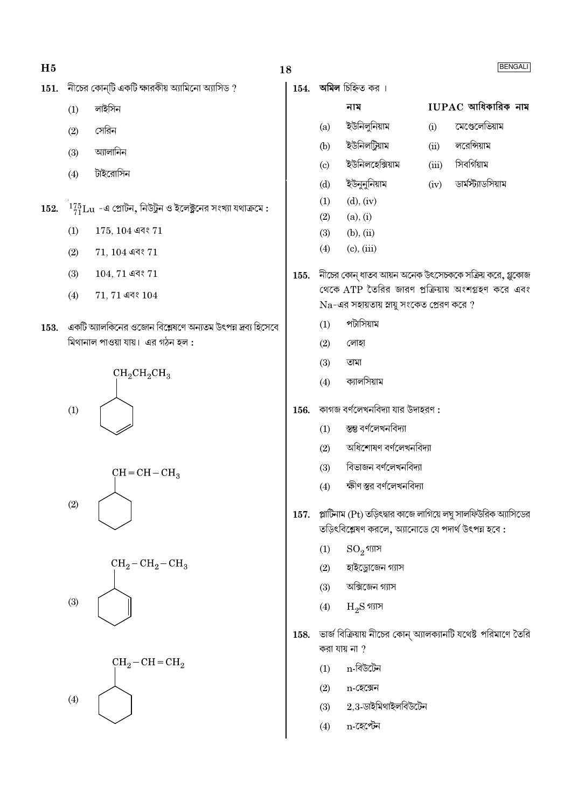| ۰.<br>×<br>۰. |
|---------------|
|               |

- $151.$  নীচের কোন্টি একটি ক্ষারকীয় অ্যামিনো অ্যাসিড?
	- $(1)$ লাইসিন
	- সেরিন  $(2)$
	- অ্যালানিন  $(3)$
	- টাইরোসিন  $(4)$
- $^{-1}^{75}_{71}\mathrm{Lu}$  -এ প্রোটন, নিউট্রন ও ইলেক্ট্রনের সংখ্যা যথাক্রমে : 152.
	- $(1)$  $175, 104$  এবং  $71$
	- $(2)$  $71, 104$  এবং  $71$
	- $(3)$  $104, 71$  এবং  $71$
	- $(4)$  $71, 71$  এবং  $104$
- $153.$  একটি অ্যালকিনের ওজোন বিশ্লেষণে অন্যতম উৎপন্ন দ্রব্য হিসেবে মিথানাল পাওয়া যায়। এর গঠন হল :









 $154.$  অমিল চিহ্নিত কর।

 $(a)$ 

 $(b)$ 

নাম

ইউনিলুনিয়াম

## $IUPAC$  আধিকারিক নাম

লরেন্সিয়াম

সিবর্গিয়াম

ডাৰ্মস্ট্যাডসিয়াম

মেণ্ডেলেভিয়াম  $(i)$ 

 $(iv)$ 

- ইউনিলটিয়াম  $(ii)$
- ইউনিলহেক্সিয়াম  $(iii)$  $\left( \mathrm{c}\right)$
- ইউনুনুনিয়াম  $(d)$
- $(1)$  $(d), (iv)$
- $(2)$  $(a), (i)$
- $(b), (ii)$  $(3)$
- $(4)$  $(c)$ ,  $(iii)$
- 155. নীচের কোন্ ধাতব আয়ন অনেক উৎসেচককে সক্রিয় করে, গ্লুকোজ থেকে ATP তৈরির জারণ প্রক্রিয়ায় অংশগ্রহণ করে এবং  $Na$ -এর সহায়তায় স্নায়ু সংকেত প্রেরণ করে ?
	- পটাসিয়াম  $(1)$
	- $(2)$ লোহা
	- তামা  $(3)$
	- ক্যালসিয়াম  $(4)$
- কাগজ বর্ণলেখনবিদ্যা যার উদাহরণ : 156.
	- $(1)$ স্তম্ভ বৰ্ণলেখনবিদ্যা
	- অধিশোষণ বৰ্ণলেখনবিদ্যা  $(2)$
	- বিভাজন বৰ্ণলেখনবিদ্যা  $(3)$
	- ক্ষীণ স্তর বর্ণলেখনবিদ্যা  $(4)$
- প্লাটিনাম (Pt) তড়িৎদ্বার কাজে লাগিয়ে লঘু সালফিউরিক অ্যাসিডের 157. তড়িৎবিশ্লেষণ করলে, অ্যানোডে যে পদার্থ উৎপন্ন হবে :
	- $\mathrm{SO}_2$ গ্যাস  $(1)$
	- হাইড্রোজেন গ্যাস  $(2)$
	- অক্সিজেন গ্যাস  $(3)$
	- $H_2S$  গ্যাস  $(4)$
- 158. ভার্জ বিক্রিয়ায় নীচের কোন্ অ্যালক্যানটি যথেষ্ট পরিমাণে তৈরি করা যায় না  $\eta$ 
	- n-বিউটেন  $(1)$
	- $(2)$ n-হেক্সেন
	- $2.3$ -ডাইমিথাইলবিউটেন  $(3)$
	- n-হেপ্টেন  $(4)$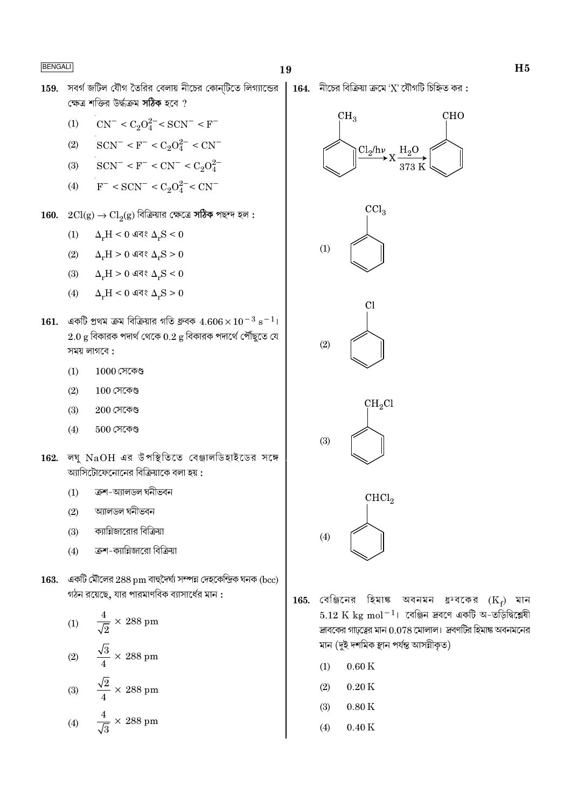159. সবর্গ জটিল যৌগ তৈরির বেলায় নীচের কোন্টিতে লিগ্যান্ডের | 164. নীচের বিক্রিয়া ক্রমে 'X' যৌগটি চিহ্নিত কর: ক্ষেত্র শক্তির উর্দ্ধক্রম সঠিক হবে ?

(1) 
$$
CN^{-} < C_2O_4^{2-} < SCN^{-} < F^{-}
$$

- $SCN^- < F^- < C_2O_4^{2-} < CN^ (2)$
- $SCN^- < F^- < CN^- < C_2O_4^{2-}$  $(3)$
- $F^-$  < SCN<sup>-</sup> < C<sub>2</sub>O<sub>4</sub><sup>2-</sup> < CN<sup>-</sup>  $(4)$
- $160. \quad 2Cl(g) \rightarrow Cl_2(g)$  বিক্রিয়ার ক্ষেত্রে সঠিক পছন্দ হল :
	- $\Delta_r H < 0$  এবং  $\Delta_r S < 0$  $(1)$
	- $\Delta_r H > 0$  এবং  $\Delta_r S > 0$  $(2)$
	- (3)  $\Delta_r H > 0$  এবং  $\Delta_r S < 0$
	- $\Delta_{\star}\text{H} \leq 0$  এবং  $\Delta_{\star}\text{S} \geq 0$  $(4)$
- 161. একটি প্রথম ক্রম বিক্রিয়ার গতি ধ্রুবক  $4.606 \times 10^{-3}$  s<sup>-1</sup>।  $2.0$  g বিকারক পদার্থ থেকে  $0.2$  g বিকারক পদার্থে পৌঁছুতে যে সময় লাগবে:
	- $1000$  সেকেণ্ড  $(1)$
	- $(2)$  $100$  সেকেণ্ড
	- $(3)$  $200$  সেকেণ্ড
	- $500$  সেকেণ্ড  $(4)$
- $162.$  লঘ  $NaOH$  এর উপস্থিতিতে বেঞ্জালডিহাইডের সঙ্গে অ্যাসিটোফেনোনের বিক্রিয়াকে বলা হয়:
	- ক্ৰশ-অ্যালডল ঘনীভবন  $(1)$
	- আলডল ঘনীভবন  $(2)$
	- ক্যান্নিজারোর বিক্রিয়া  $(3)$
	- ক্রশ-ক্যান্নিজারো বিক্রিয়া  $(4)$
- 163. একটি মৌলের  $288\,\mathrm{pm}$  বাহুদৈর্ঘ্য সম্পন্ন দেহকেন্দ্রিক ঘনক (bcc) গঠন রয়েছে, যার পারমাণবিক ব্যাসার্ধের মান:

(1) 
$$
\frac{4}{\sqrt{2}} \times 288 \text{ pm}
$$
  
(2) 
$$
\frac{\sqrt{3}}{4} \times 288 \text{ pm}
$$
  
(3) 
$$
\frac{\sqrt{2}}{4} \times 288 \text{ pm}
$$
  
(4) 
$$
\frac{4}{\sqrt{3}} \times 288 \text{ pm}
$$











- 165. বেঞ্জিনের হিমাঙ্ক অবনমন ধ্রুবকের  $(K_f)$  মান  $5.12 \text{ K} \text{ kg} \text{ mol}^{-1}$ । বেঞ্জিন দ্রবণে একটি অ-তড়িদ্বিশ্লেষী দ্রাবকের গাঢ়ত্বের মান  $0.078$  মোলাল। দ্রবণটির হিমাঙ্ক অবনমনের মান (দুই দশমিক স্থান পৰ্যন্ত আসন্নীকৃত)
	- $(1)$  $0.60K$
	- $0.20K$  $(2)$
	- $0.80K$  $(3)$
	- $0.40K$  $(4)$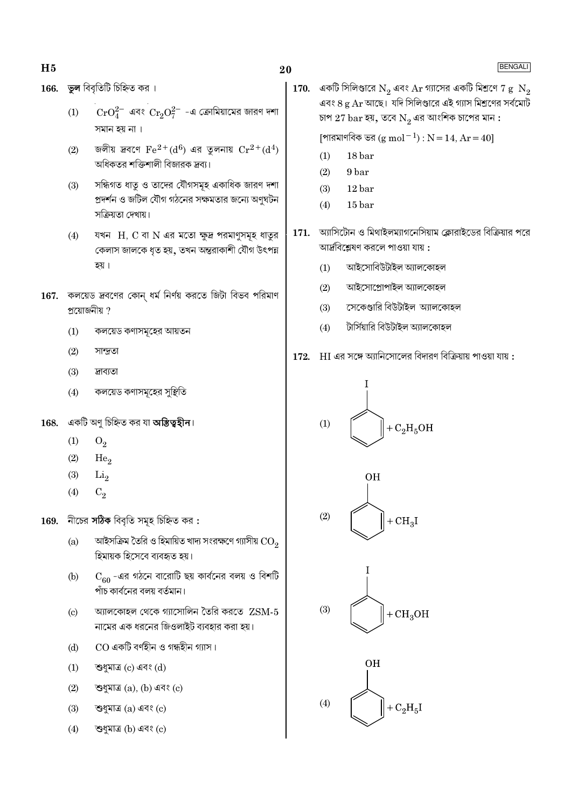**ভুল** বিবৃতিটি চিহ্নিত কর। 166.

- $(1)$  $\rm CrO_4^{2-}$  এবং  $\rm Cr_2O_7^{2-}$  -এ ক্রোমিয়ামের জারণ দশা সমান হয় না ।
- জলীয় দ্রবণে  $\text{Fe}^{2+}\text{(d}^6)$  এর তুলনায়  $\text{Cr}^{2+}\text{(d}^4)$  $(2)$ অধিকতর শক্তিশালী বিজারক দ্রব্য।
- সন্ধিগত ধাতু ও তাদের যৌগসমূহ একাধিক জারণ দশা  $(3)$ প্রদর্শন ও জটিল যৌগ গঠনের সক্ষমতার জন্যে অণুঘটন সক্ৰিয়তা দেখায়।
- যখন  $H$ ,  $C$  বা  $N$  এর মতো ক্ষুদ্র পরমাণুসমূহ ধাতুর  $(4)$ কেলাস জালকে ধৃত হয়, তখন অন্তরাকাশী যৌগ উৎপন্ন হয়।
- 167. কলয়েড দ্রবণের কোন ধর্ম নির্ণয় করতে জিটা বিভব পরিমাণ প্ৰয়োজনীয় ?
	- $(1)$ কলয়েড কণাসমূহের আয়তন
	- $(2)$ সান্দ্ৰতা
	- $(3)$ দ্ৰাব্যতা
	- $(4)$ কলয়েড কণাসমূহের সুষ্থিতি
- একটি অণু চিহ্নিত কর যা **অস্তিত্বহীন**। 168.
	- $(1)$  $O_2$
	- $(2)$ He<sub>o</sub>
	- $(3)$  $Li<sub>2</sub>$
	- $(4)$  $C_2$
- নীচের সঠিক বিবৃতি সমূহ চিহ্নিত কর: 169.
	- আইসক্রিম তৈরি ও হিমায়িত খাদ্য সংরক্ষণে গ্যাসীয়  $\rm CO_{\alpha}$  $(a)$ হিমায়ক হিসেবে ব্যবহৃত হয়।
	- $\rm C_{60}$  -এর গঠনে বারোটি ছয় কার্বনের বলয় ও বিশটি  $(b)$ পাঁচ কার্বনের বলয় বর্তমান।
	- আলকোহল থেকে গ্যাসোলিন তৈরি করতে  $Z{\rm SM}\text{-}5$  $(c)$ নামের এক ধরনের জিওলাইট ব্যবহার করা হয়।
	- CO একটি বর্ণহীন ও গন্ধহীন গ্যাস।  $(d)$
	- শুধুমাত্ৰ (c) এবং (d)  $(1)$
	- $(2)$ শুধুমাত্ৰ  $(a)$ ,  $(b)$  এবং  $(c)$
	- $(3)$ শুধুমাত্ৰ (a) এবং (c)
	- শুধুমাত্ৰ (b) এবং (c)  $(4)$

170. একটি সিলিণ্ডারে  $\mathrm{N}_2$  এবং  $\mathrm{Ar}$  গ্যাসের একটি মিশ্রণে 7  $\mathrm{g/N}_2$ এবং ৪ g  $\rm Ar$  আছে। যদি সিলিণ্ডারে এই গ্যাস মিশ্রণের সর্বমোট চাপ  $27\,\mathrm{bar}$  হয়, তবে  $\mathrm{N}_2$  এর আংশিক চাপের মান :

[পারমাণবিক ভর  $(g \text{ mol}^{-1}) : N = 14$ , Ar = 40]

- $(1)$ 18 bar
- $(2)$ 9 bar
- 12 bar  $(3)$
- $(4)$  $15<sub>bar</sub>$
- ্আসিটোন ও মিথাইলম্যাগনেসিয়াম ক্লোরাইডের বিক্রিয়ার পরে 171. আর্দ্রবিশ্লেষণ করলে পাওয়া যায় :
	- আইসোবিউটাইল অ্যালকোহল  $(1)$
	- $(2)$ আইসোপ্ৰোপাইল অ্যালকোহল
	- সেকেণ্ডারি বিউটাইল অ্যালকোহল  $(3)$
	- টার্সিয়ারি বিউটাইল অ্যালকোহল  $(4)$
- $172.$  HI এর সঙ্গে অ্যানিসোলের বিদারণ বিক্রিয়ায় পাওয়া যায়:







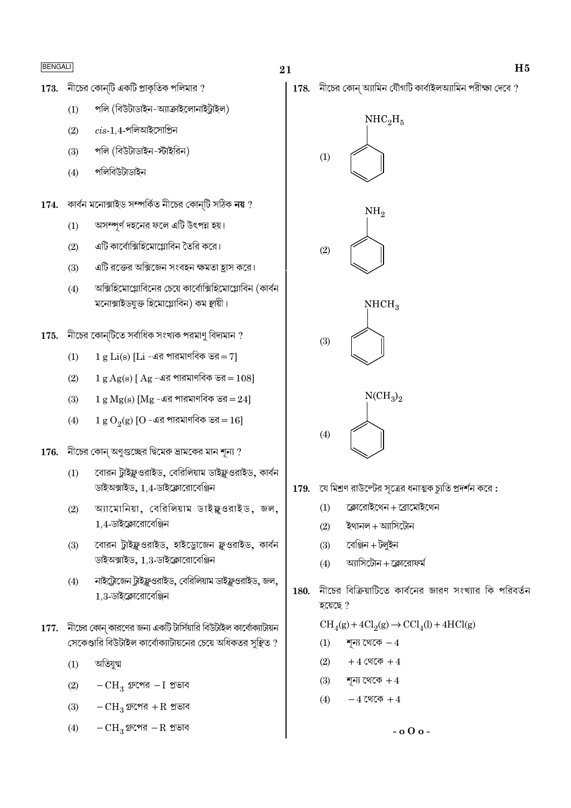- $173.$  নীচের কোন্টি একটি প্রাকৃতিক পলিমার ?
	- পলি (বিউটাডাইন-অ্যাক্রাইলোনাইট্রাইল)  $(1)$
	- $\emph{cis-1.4}$ -পলিআইসোপ্রিন  $(2)$
	- পলি (বিউটাডাইন-স্টাইরিন)  $(3)$
	- $(4)$ পলিবিউটাডাইন
- $174.$  কাৰ্বন মনোক্সাইড সম্পৰ্কিত নীচের কোন্টি সঠিক নয় ?
	- অসম্পূর্ণ দহনের ফলে এটি উৎপন্ন হয়।  $(1)$
	- এটি কার্বোক্সিহিমোগ্লোবিন তৈরি করে।  $(2)$
	- এটি রক্তের অক্সিজেন সংবহন ক্ষমতা হাস করে।  $(3)$
	- $(4)$ অক্সিহিমোগ্লোবিনের চেয়ে কার্বোক্সিহিমোগ্লোবিন (কার্বন মনোক্সাইডযুক্ত হিমোগ্লোবিন) কম স্থায়ী।
- $175.$  নীচের কোন্টিতে সর্বাধিক সংখ্যক পরমাণু বিদ্যমান ?
	- $1 g Li(s) [Li 4a]$ র পারমাণবিক ভর $= 7$  $(1)$
	- $(2)$  $1 g Ag(s)$  [ Ag -এর পারমাণবিক ভর =  $108$ ]
	- $(3)$  $1 g Mg(s)$  [Mg -এর পারমাণবিক ভর =  $24$ ]
	- $1 g O<sub>2</sub>(g)$  [O -এর পারমাণবিক ভর = 16]  $(4)$
- নীচের কোন্ অণুগুচ্ছের দ্বিমেরু ভ্রামকের মান শূন্য ? 176.
	- বোরন টাইফ্লওরাইড, বেরিলিয়াম ডাইফ্লওরাইড, কার্বন  $(1)$ ডাইঅক্সাইড, 1,4-ডাইক্লোরোবেঞ্জিন
	- অ্যামোনিয়া, বেরিলিয়াম ডাইফ্লওরাইড, জল,  $(2)$ 1.4-ডাইক্লোরোবেঞ্জিন
	- বোরন ট্রাইফ্লুওরাইড, হাইড্রোজেন ফ্লুওরাইড, কার্বন  $(3)$ ডাইঅক্সাইড, 1,3-ডাইক্লোরোবেঞ্জিন
	- নাইট্রোজেন ট্রাইফ্লুওরাইড, বেরিলিয়াম ডাইফ্লুওরাইড, জল,  $(4)$  $1,3$ -ডাইক্লোরোবেঞ্জিন
- $177.$  নীচের কোন্ কারণের জন্য একটি টার্সিয়ারি বিউটাইল কার্বোক্যাটায়ন সেকেণ্ডারি বিউটাইল কার্বোক্যাটায়নের চেয়ে অধিকতর সুষ্থিত ?
	- অতিযুগ্ম  $(1)$
	- $(2)$  $-CH_3$  গ্রুপের  $-I$  প্রভাব
	- $-CH_3$  গ্রুপের + $R$  প্রভাব  $(3)$
	- $-CH_3$ গ্রুপের  $-R$  প্রভাব  $(4)$

 $178.$  নীচের কোন্ অ্যামিন যৌগটি কার্বাইলঅ্যামিন পরীক্ষা দেবে ?



- $179.$  যে মিশ্রণ রাউল্টের সূত্রের ধনাত্মক চ্যুতি প্রদর্শন করে:
	- $(1)$ ক্লোরোইথেন + ব্রোমোইথেন
	- ইথানল + অ্যাসিটোন  $(2)$
	- বেঞ্জিন + টলুইন  $(3)$
	- আসিটোন + কোবোফর্ম  $(4)$
- নীচের বিক্রিয়াটিতে কার্বনের জারণ সংখ্যার কি পরিবর্তন 180. হয়েছে?

 $\mathrm{CH}_4(g) + 4\mathrm{Cl}_2(g) \rightarrow \mathrm{CCl}_4(l) + 4\mathrm{HCl}(g)$ 

- শূন্য থেকে  $-4$  $(1)$
- $(2)$  $+4$  থেকে  $+4$
- শন্য থেকে  $+4$  $(3)$
- $-4$  থেকে  $+4$  $(4)$

 $-0.000$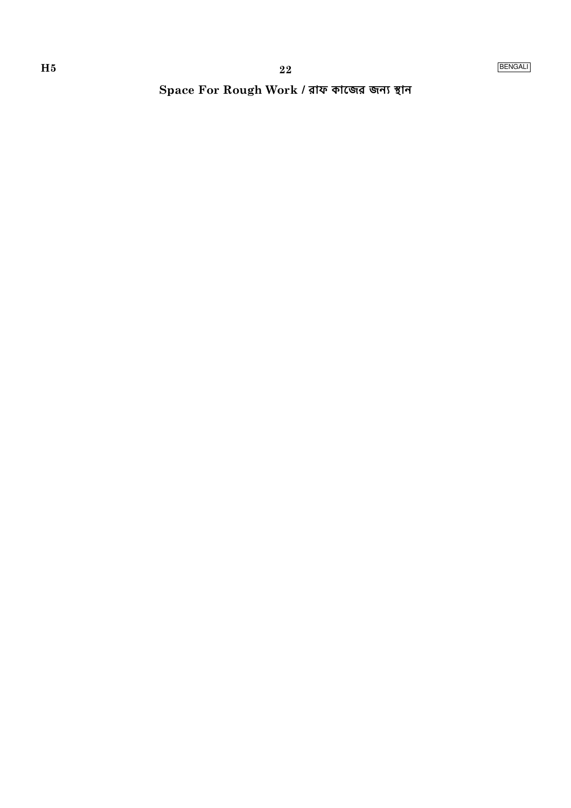Space For Rough Work / রাফ কাজের জন্য স্থান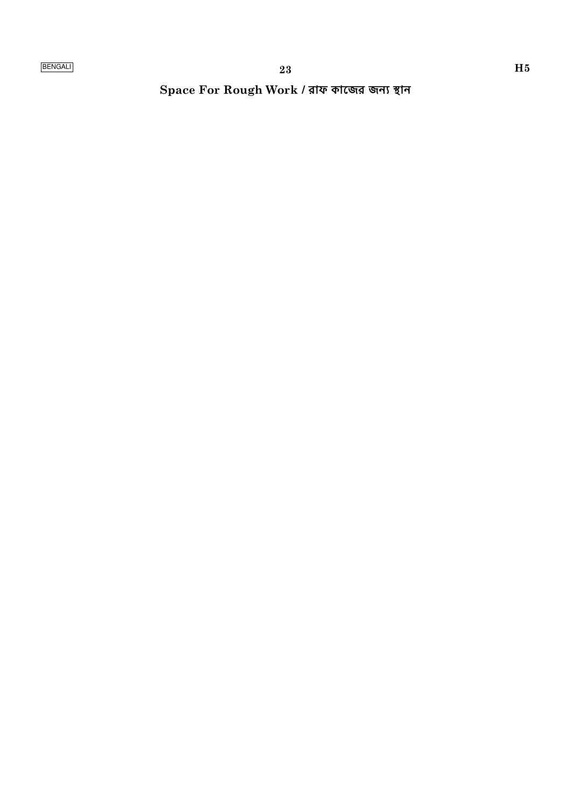Space For Rough Work / রাফ কাজের জন্য স্থান